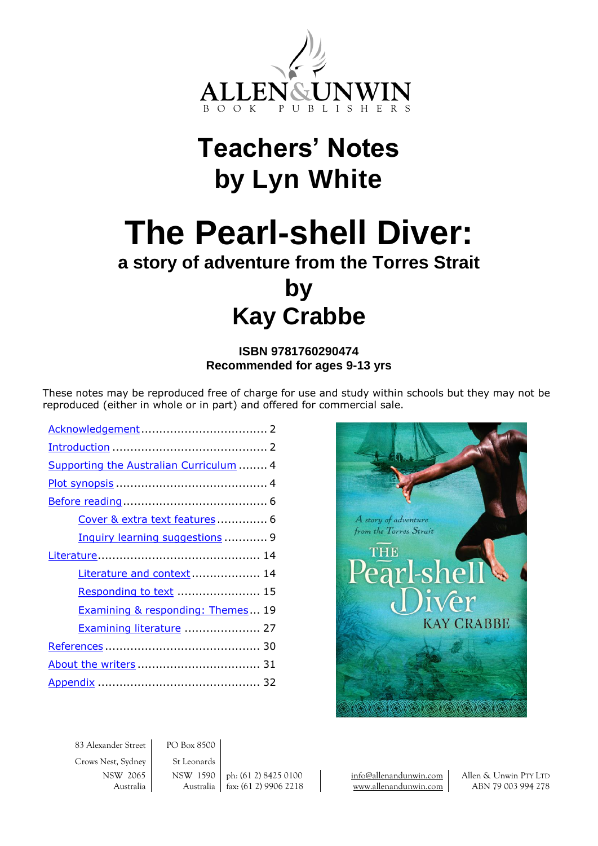

# **Teachers' Notes by Lyn White**

# **The Pearl-shell Diver:**

## **a story of adventure from the Torres Strait**

## **by Kay Crabbe**

## **ISBN 9781760290474 Recommended for ages 9-13 yrs**

These notes may be reproduced free of charge for use and study within schools but they may not be reproduced (either in whole or in part) and offered for commercial sale.

| Supporting the Australian Curriculum  4 |
|-----------------------------------------|
|                                         |
|                                         |
| Cover & extra text features 6           |
| Inquiry learning suggestions  9         |
|                                         |
| Literature and context  14              |
| Responding to text  15                  |
| Examining & responding: Themes 19       |
| Examining literature  27                |
|                                         |
|                                         |
|                                         |



83 Alexander Street PO Box 8500 Crows Nest, Sydney St Leonards

NSW 2065 NSW 1590 ph: (61 2) 8425 0100 [info@allenandunwin.com](mailto:info@allenandunwin.com) Allen & Unwin PTY LTD Australia | Australia | fax: (61 2) 9906 2218 | [www.allenandunwin.com](http://www.allenandunwin.com/) | ABN 79 003 994 278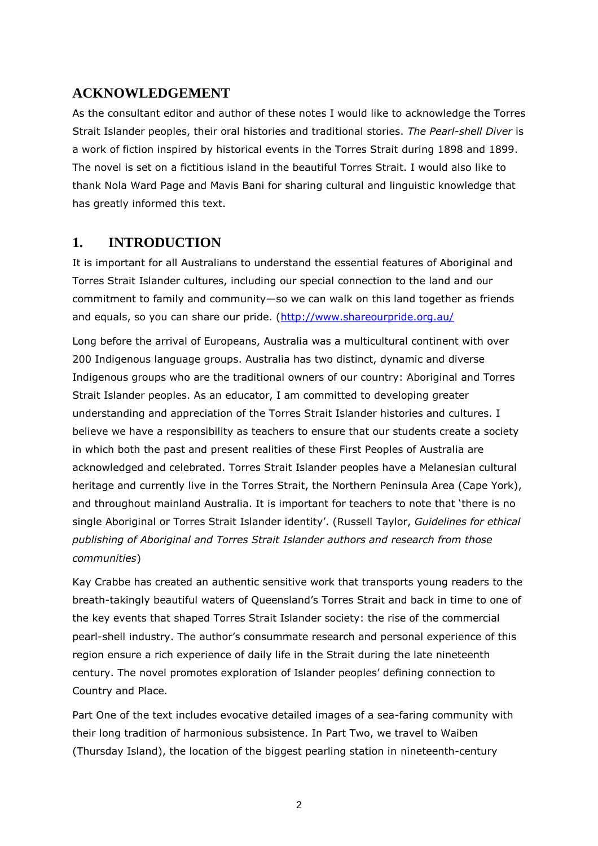## <span id="page-1-0"></span>**ACKNOWLEDGEMENT**

As the consultant editor and author of these notes I would like to acknowledge the Torres Strait Islander peoples, their oral histories and traditional stories. *The Pearl-shell Diver* is a work of fiction inspired by historical events in the Torres Strait during 1898 and 1899. The novel is set on a fictitious island in the beautiful Torres Strait. I would also like to thank Nola Ward Page and Mavis Bani for sharing cultural and linguistic knowledge that has greatly informed this text.

## <span id="page-1-1"></span>**1. INTRODUCTION**

It is important for all Australians to understand the essential features of Aboriginal and Torres Strait Islander cultures, including our special connection to the land and our commitment to family and community—so we can walk on this land together as friends and equals, so you can share our pride. [\(http://www.shareourpride.org.au/](http://www.shareourpride.org.au/)

Long before the arrival of Europeans, Australia was a multicultural continent with over 200 Indigenous language groups. Australia has two distinct, dynamic and diverse Indigenous groups who are the traditional owners of our country: Aboriginal and Torres Strait Islander peoples. As an educator, I am committed to developing greater understanding and appreciation of the Torres Strait Islander histories and cultures. I believe we have a responsibility as teachers to ensure that our students create a society in which both the past and present realities of these First Peoples of Australia are acknowledged and celebrated. Torres Strait Islander peoples have a Melanesian cultural heritage and currently live in the Torres Strait, the Northern Peninsula Area (Cape York), and throughout mainland Australia. It is important for teachers to note that 'there is no single Aboriginal or Torres Strait Islander identity'. (Russell Taylor, *Guidelines for ethical publishing of Aboriginal and Torres Strait Islander authors and research from those communities*)

Kay Crabbe has created an authentic sensitive work that transports young readers to the breath-takingly beautiful waters of Queensland's Torres Strait and back in time to one of the key events that shaped Torres Strait Islander society: the rise of the commercial pearl-shell industry. The author's consummate research and personal experience of this region ensure a rich experience of daily life in the Strait during the late nineteenth century. The novel promotes exploration of Islander peoples' defining connection to Country and Place.

Part One of the text includes evocative detailed images of a sea-faring community with their long tradition of harmonious subsistence. In Part Two, we travel to Waiben (Thursday Island), the location of the biggest pearling station in nineteenth-century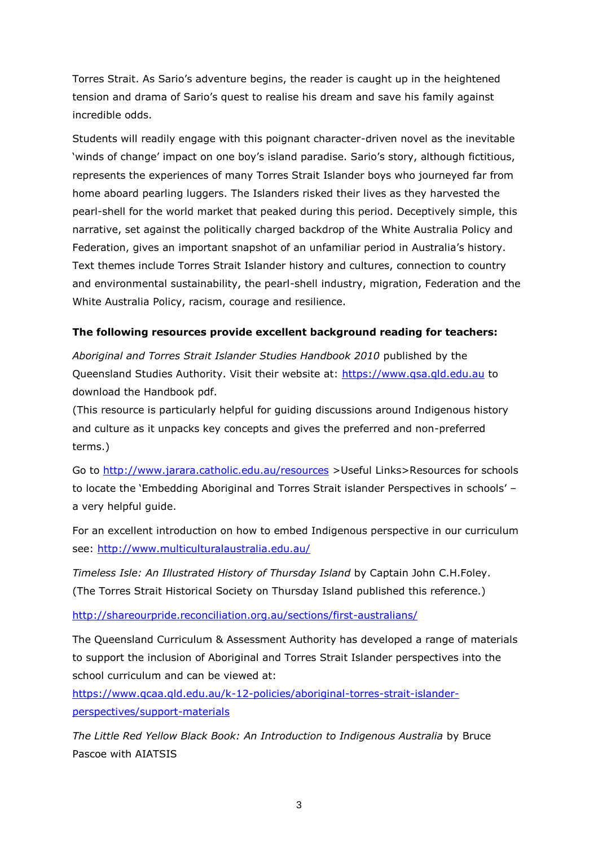Torres Strait. As Sario's adventure begins, the reader is caught up in the heightened tension and drama of Sario's quest to realise his dream and save his family against incredible odds.

Students will readily engage with this poignant character-driven novel as the inevitable 'winds of change' impact on one boy's island paradise. Sario's story, although fictitious, represents the experiences of many Torres Strait Islander boys who journeyed far from home aboard pearling luggers. The Islanders risked their lives as they harvested the pearl-shell for the world market that peaked during this period. Deceptively simple, this narrative, set against the politically charged backdrop of the White Australia Policy and Federation, gives an important snapshot of an unfamiliar period in Australia's history. Text themes include Torres Strait Islander history and cultures, connection to country and environmental sustainability, the pearl-shell industry, migration, Federation and the White Australia Policy, racism, courage and resilience.

#### **The following resources provide excellent background reading for teachers:**

*Aboriginal and Torres Strait Islander Studies Handbook 2010* published by the Queensland Studies Authority. Visit their website at: [https://www.qsa.qld.edu.au](https://www.qsa.qld.edu.au/) to download the Handbook pdf.

(This resource is particularly helpful for guiding discussions around Indigenous history and culture as it unpacks key concepts and gives the preferred and non-preferred terms.)

Go to<http://www.jarara.catholic.edu.au/resources> >Useful Links>Resources for schools to locate the 'Embedding Aboriginal and Torres Strait islander Perspectives in schools' – a very helpful guide.

For an excellent introduction on how to embed Indigenous perspective in our curriculum see:<http://www.multiculturalaustralia.edu.au/>

*Timeless Isle: An Illustrated History of Thursday Island* by Captain John C.H.Foley. (The Torres Strait Historical Society on Thursday Island published this reference.)

<http://shareourpride.reconciliation.org.au/sections/first-australians/>

The Queensland Curriculum & Assessment Authority has developed a range of materials to support the inclusion of Aboriginal and Torres Strait Islander perspectives into the school curriculum and can be viewed at:

[https://www.qcaa.qld.edu.au/k-12-policies/aboriginal-torres-strait-islander](https://www.qcaa.qld.edu.au/k-12-policies/aboriginal-torres-strait-islander-perspectives/support-materials)[perspectives/support-materials](https://www.qcaa.qld.edu.au/k-12-policies/aboriginal-torres-strait-islander-perspectives/support-materials)

*The Little Red Yellow Black Book: An Introduction to Indigenous Australia* by Bruce Pascoe with AIATSIS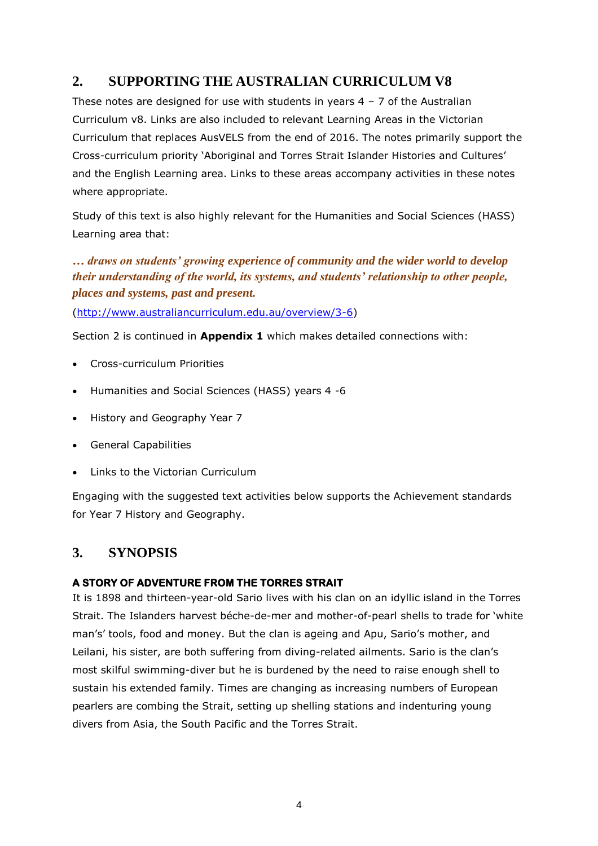## <span id="page-3-0"></span>**2. SUPPORTING THE AUSTRALIAN CURRICULUM V8**

These notes are designed for use with students in years  $4 - 7$  of the Australian Curriculum v8. Links are also included to relevant Learning Areas in the Victorian Curriculum that replaces AusVELS from the end of 2016. The notes primarily support the Cross-curriculum priority 'Aboriginal and Torres Strait Islander Histories and Cultures' and the English Learning area. Links to these areas accompany activities in these notes where appropriate.

Study of this text is also highly relevant for the Humanities and Social Sciences (HASS) Learning area that:

*… draws on students' growing experience of community and the wider world to develop their understanding of the world, its systems, and students' relationship to other people, places and systems, past and present.*

[\(http://www.australiancurriculum.edu.au/overview/3-6\)](http://www.australiancurriculum.edu.au/overview/3-6)

Section 2 is continued in **Appendix 1** which makes detailed connections with:

- Cross-curriculum Priorities
- Humanities and Social Sciences (HASS) years 4 -6
- History and Geography Year 7
- General Capabilities
- $\bullet$  Links to the Victorian Curriculum

Engaging with the suggested text activities below supports the Achievement standards for Year 7 History and Geography.

## <span id="page-3-1"></span>**3. SYNOPSIS**

## **A STORY OF ADVENTURE FROM THE TORRES STRAIT**

It is 1898 and thirteen-year-old Sario lives with his clan on an idyllic island in the Torres Strait. The Islanders harvest béche-de-mer and mother-of-pearl shells to trade for 'white man's' tools, food and money. But the clan is ageing and Apu, Sario's mother, and Leilani, his sister, are both suffering from diving-related ailments. Sario is the clan's most skilful swimming-diver but he is burdened by the need to raise enough shell to sustain his extended family. Times are changing as increasing numbers of European pearlers are combing the Strait, setting up shelling stations and indenturing young divers from Asia, the South Pacific and the Torres Strait.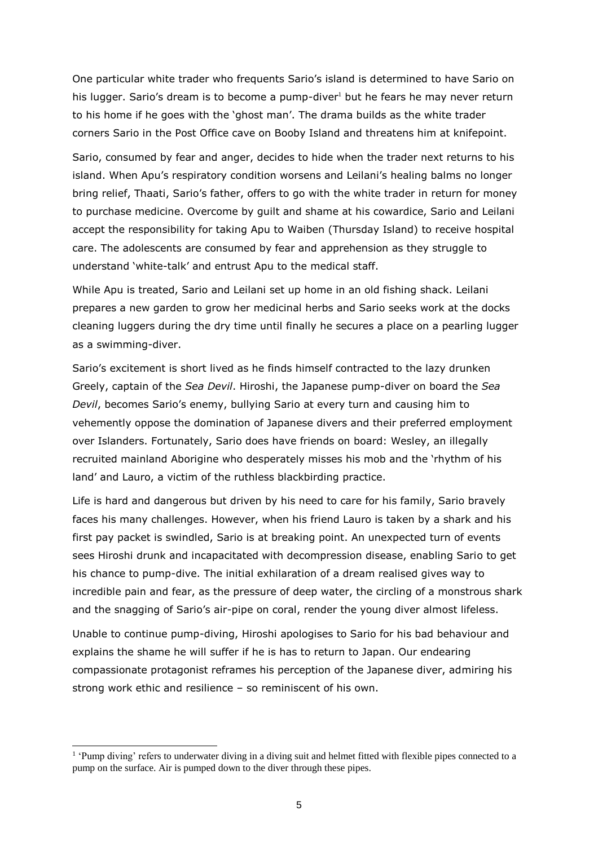One particular white trader who frequents Sario's island is determined to have Sario on his lugger. Sario's dream is to become a pump-diver<sup>1</sup> but he fears he may never return to his home if he goes with the 'ghost man'. The drama builds as the white trader corners Sario in the Post Office cave on Booby Island and threatens him at knifepoint.

Sario, consumed by fear and anger, decides to hide when the trader next returns to his island. When Apu's respiratory condition worsens and Leilani's healing balms no longer bring relief, Thaati, Sario's father, offers to go with the white trader in return for money to purchase medicine. Overcome by guilt and shame at his cowardice, Sario and Leilani accept the responsibility for taking Apu to Waiben (Thursday Island) to receive hospital care. The adolescents are consumed by fear and apprehension as they struggle to understand 'white-talk' and entrust Apu to the medical staff.

While Apu is treated, Sario and Leilani set up home in an old fishing shack. Leilani prepares a new garden to grow her medicinal herbs and Sario seeks work at the docks cleaning luggers during the dry time until finally he secures a place on a pearling lugger as a swimming-diver.

Sario's excitement is short lived as he finds himself contracted to the lazy drunken Greely, captain of the *Sea Devil*. Hiroshi, the Japanese pump-diver on board the *Sea Devil*, becomes Sario's enemy, bullying Sario at every turn and causing him to vehemently oppose the domination of Japanese divers and their preferred employment over Islanders. Fortunately, Sario does have friends on board: Wesley, an illegally recruited mainland Aborigine who desperately misses his mob and the 'rhythm of his land' and Lauro, a victim of the ruthless blackbirding practice.

Life is hard and dangerous but driven by his need to care for his family, Sario bravely faces his many challenges. However, when his friend Lauro is taken by a shark and his first pay packet is swindled, Sario is at breaking point. An unexpected turn of events sees Hiroshi drunk and incapacitated with decompression disease, enabling Sario to get his chance to pump-dive. The initial exhilaration of a dream realised gives way to incredible pain and fear, as the pressure of deep water, the circling of a monstrous shark and the snagging of Sario's air-pipe on coral, render the young diver almost lifeless.

Unable to continue pump-diving, Hiroshi apologises to Sario for his bad behaviour and explains the shame he will suffer if he is has to return to Japan. Our endearing compassionate protagonist reframes his perception of the Japanese diver, admiring his strong work ethic and resilience – so reminiscent of his own.

l

<sup>&</sup>lt;sup>1</sup> 'Pump diving' refers to underwater diving in a diving suit and helmet fitted with flexible pipes connected to a pump on the surface. Air is pumped down to the diver through these pipes.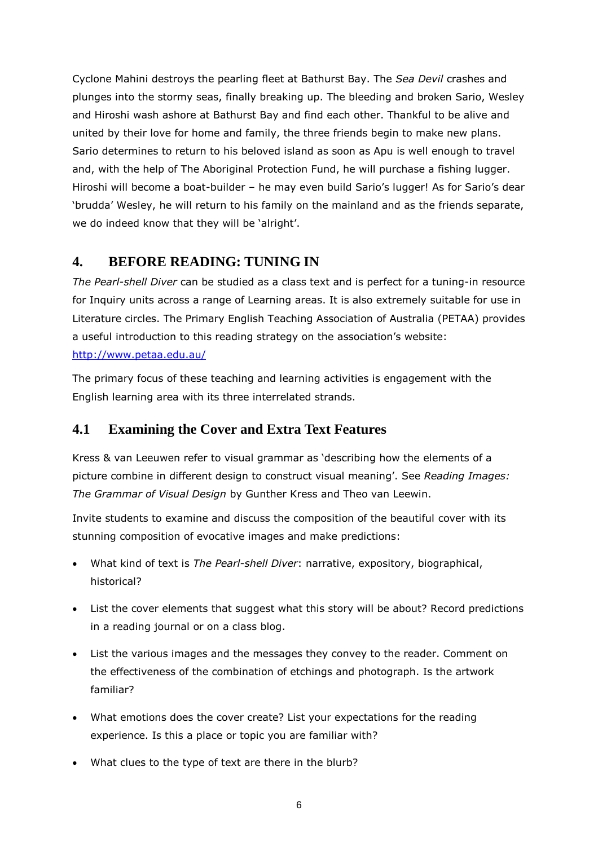Cyclone Mahini destroys the pearling fleet at Bathurst Bay. The *Sea Devil* crashes and plunges into the stormy seas, finally breaking up. The bleeding and broken Sario, Wesley and Hiroshi wash ashore at Bathurst Bay and find each other. Thankful to be alive and united by their love for home and family, the three friends begin to make new plans. Sario determines to return to his beloved island as soon as Apu is well enough to travel and, with the help of The Aboriginal Protection Fund, he will purchase a fishing lugger. Hiroshi will become a boat-builder – he may even build Sario's lugger! As for Sario's dear 'brudda' Wesley, he will return to his family on the mainland and as the friends separate, we do indeed know that they will be 'alright'.

## <span id="page-5-0"></span>**4. BEFORE READING: TUNING IN**

*The Pearl-shell Diver* can be studied as a class text and is perfect for a tuning-in resource for Inquiry units across a range of Learning areas. It is also extremely suitable for use in Literature circles. The Primary English Teaching Association of Australia (PETAA) provides a useful introduction to this reading strategy on the association's website: <http://www.petaa.edu.au/>

The primary focus of these teaching and learning activities is engagement with the English learning area with its three interrelated strands.

## <span id="page-5-1"></span>**4.1 Examining the Cover and Extra Text Features**

Kress & van Leeuwen refer to visual grammar as 'describing how the elements of a picture combine in different design to construct visual meaning'. See *Reading Images: The Grammar of Visual Design* by Gunther Kress and Theo van Leewin.

Invite students to examine and discuss the composition of the beautiful cover with its stunning composition of evocative images and make predictions:

- What kind of text is *The Pearl-shell Diver*: narrative, expository, biographical, historical?
- List the cover elements that suggest what this story will be about? Record predictions in a reading journal or on a class blog.
- List the various images and the messages they convey to the reader. Comment on the effectiveness of the combination of etchings and photograph. Is the artwork familiar?
- What emotions does the cover create? List your expectations for the reading experience. Is this a place or topic you are familiar with?
- What clues to the type of text are there in the blurb?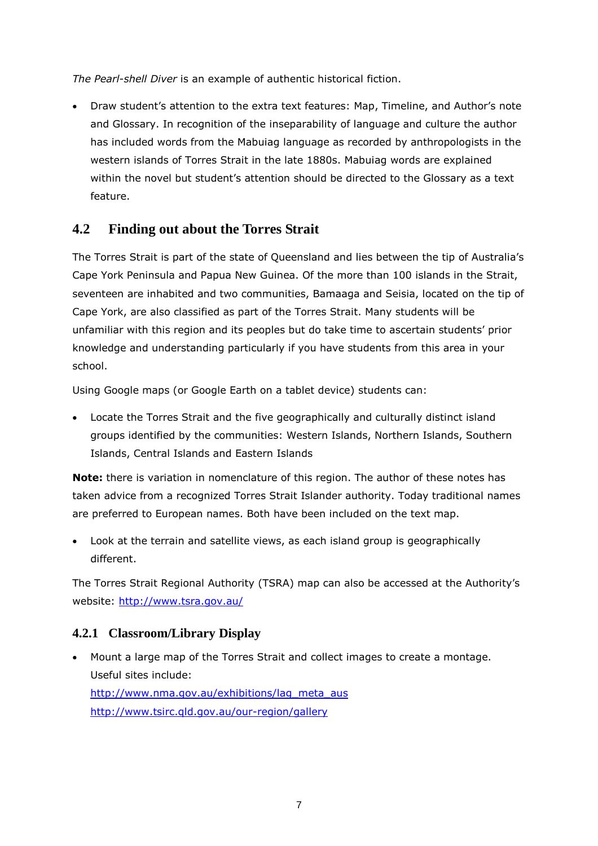*The Pearl-shell Diver* is an example of authentic historical fiction.

 Draw student's attention to the extra text features: Map, Timeline, and Author's note and Glossary. In recognition of the inseparability of language and culture the author has included words from the Mabuiag language as recorded by anthropologists in the western islands of Torres Strait in the late 1880s. Mabuiag words are explained within the novel but student's attention should be directed to the Glossary as a text feature.

## **4.2 Finding out about the Torres Strait**

The Torres Strait is part of the state of Queensland and lies between the tip of Australia's Cape York Peninsula and Papua New Guinea. Of the more than 100 islands in the Strait, seventeen are inhabited and two communities, Bamaaga and Seisia, located on the tip of Cape York, are also classified as part of the Torres Strait. Many students will be unfamiliar with this region and its peoples but do take time to ascertain students' prior knowledge and understanding particularly if you have students from this area in your school.

Using Google maps (or Google Earth on a tablet device) students can:

 Locate the Torres Strait and the five geographically and culturally distinct island groups identified by the communities: Western Islands, Northern Islands, Southern Islands, Central Islands and Eastern Islands

**Note:** there is variation in nomenclature of this region. The author of these notes has taken advice from a recognized Torres Strait Islander authority. Today traditional names are preferred to European names. Both have been included on the text map.

 Look at the terrain and satellite views, as each island group is geographically different.

The Torres Strait Regional Authority (TSRA) map can also be accessed at the Authority's website:<http://www.tsra.gov.au/>

## **4.2.1 Classroom/Library Display**

 Mount a large map of the Torres Strait and collect images to create a montage. Useful sites include: [http://www.nma.gov.au/exhibitions/lag\\_meta\\_aus](http://www.nma.gov.au/exhibitions/lag_meta_aus) <http://www.tsirc.qld.gov.au/our-region/gallery>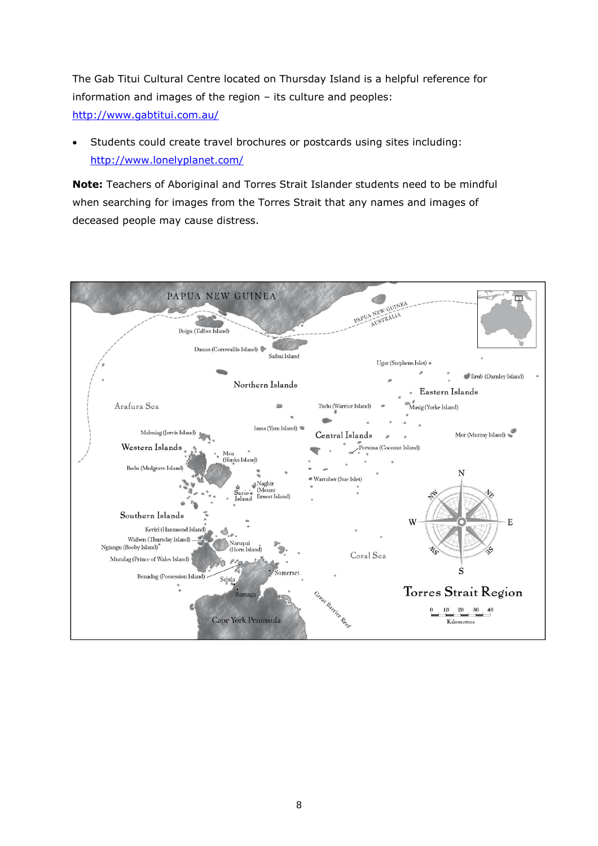The Gab Titui Cultural Centre located on Thursday Island is a helpful reference for information and images of the region – its culture and peoples: <http://www.gabtitui.com.au/>

 Students could create travel brochures or postcards using sites including: <http://www.lonelyplanet.com/>

**Note:** Teachers of Aboriginal and Torres Strait Islander students need to be mindful when searching for images from the Torres Strait that any names and images of deceased people may cause distress.

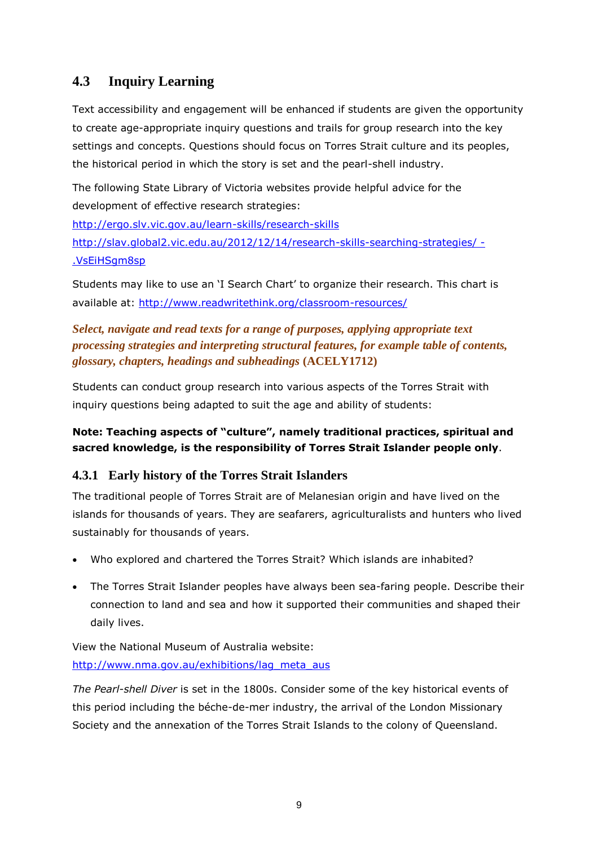## <span id="page-8-0"></span>**4.3 Inquiry Learning**

Text accessibility and engagement will be enhanced if students are given the opportunity to create age-appropriate inquiry questions and trails for group research into the key settings and concepts. Questions should focus on Torres Strait culture and its peoples, the historical period in which the story is set and the pearl-shell industry.

The following State Library of Victoria websites provide helpful advice for the development of effective research strategies:

<http://ergo.slv.vic.gov.au/learn-skills/research-skills> [http://slav.global2.vic.edu.au/2012/12/14/research-skills-searching-strategies/ -](http://slav.global2.vic.edu.au/2012/12/14/research-skills-searching-strategies/#.VsEiHSgm8sp) [.VsEiHSgm8sp](http://slav.global2.vic.edu.au/2012/12/14/research-skills-searching-strategies/#.VsEiHSgm8sp)

Students may like to use an 'I Search Chart' to organize their research. This chart is available at:<http://www.readwritethink.org/classroom-resources/>

## *Select, navigate and read texts for a range of purposes, applying appropriate text processing strategies and interpreting structural features, for example table of contents, glossary, chapters, headings and subheadings* **(ACELY1712)**

Students can conduct group research into various aspects of the Torres Strait with inquiry questions being adapted to suit the age and ability of students:

## **Note: Teaching aspects of "culture", namely traditional practices, spiritual and sacred knowledge, is the responsibility of Torres Strait Islander people only**.

## **4.3.1 Early history of the Torres Strait Islanders**

The traditional people of Torres Strait are of Melanesian origin and have lived on the islands for thousands of years. They are seafarers, agriculturalists and hunters who lived sustainably for thousands of years.

- Who explored and chartered the Torres Strait? Which islands are inhabited?
- The Torres Strait Islander peoples have always been sea-faring people. Describe their connection to land and sea and how it supported their communities and shaped their daily lives.

## View the National Museum of Australia website: [http://www.nma.gov.au/exhibitions/lag\\_meta\\_aus](http://www.nma.gov.au/exhibitions/lag_meta_aus)

*The Pearl-shell Diver* is set in the 1800s. Consider some of the key historical events of this period including the béche-de-mer industry, the arrival of the London Missionary Society and the annexation of the Torres Strait Islands to the colony of Queensland.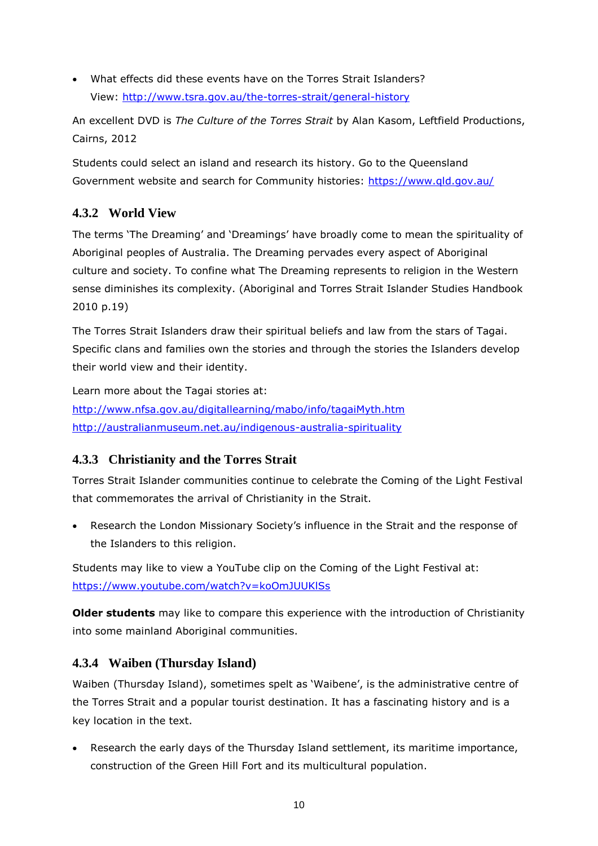What effects did these events have on the Torres Strait Islanders? View:<http://www.tsra.gov.au/the-torres-strait/general-history>

An excellent DVD is *The Culture of the Torres Strait* by Alan Kasom, Leftfield Productions, Cairns, 2012

Students could select an island and research its history. Go to the Queensland Government website and search for Community histories:<https://www.qld.gov.au/>

## **4.3.2 World View**

The terms 'The Dreaming' and 'Dreamings' have broadly come to mean the spirituality of Aboriginal peoples of Australia. The Dreaming pervades every aspect of Aboriginal culture and society. To confine what The Dreaming represents to religion in the Western sense diminishes its complexity. (Aboriginal and Torres Strait Islander Studies Handbook 2010 p.19)

The Torres Strait Islanders draw their spiritual beliefs and law from the stars of Tagai. Specific clans and families own the stories and through the stories the Islanders develop their world view and their identity.

Learn more about the Tagai stories at: <http://www.nfsa.gov.au/digitallearning/mabo/info/tagaiMyth.htm> <http://australianmuseum.net.au/indigenous-australia-spirituality>

## **4.3.3 Christianity and the Torres Strait**

Torres Strait Islander communities continue to celebrate the Coming of the Light Festival that commemorates the arrival of Christianity in the Strait.

 Research the London Missionary Society's influence in the Strait and the response of the Islanders to this religion.

Students may like to view a YouTube clip on the Coming of the Light Festival at: <https://www.youtube.com/watch?v=koOmJUUKlSs>

**Older students** may like to compare this experience with the introduction of Christianity into some mainland Aboriginal communities.

## **4.3.4 Waiben (Thursday Island)**

Waiben (Thursday Island), sometimes spelt as 'Waibene', is the administrative centre of the Torres Strait and a popular tourist destination. It has a fascinating history and is a key location in the text.

 Research the early days of the Thursday Island settlement, its maritime importance, construction of the Green Hill Fort and its multicultural population.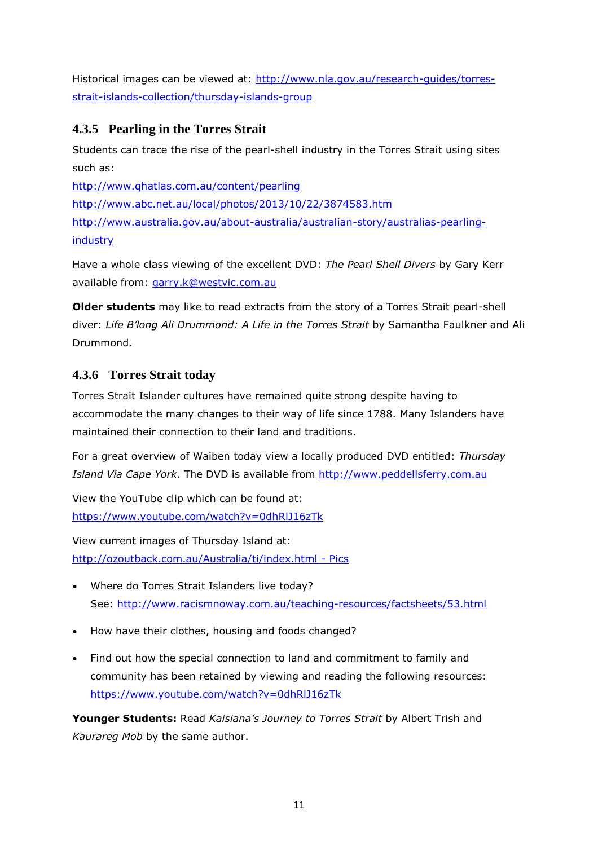Historical images can be viewed at: [http://www.nla.gov.au/research-guides/torres](http://www.nla.gov.au/research-guides/torres-strait-islands-collection/thursday-islands-group)[strait-islands-collection/thursday-islands-group](http://www.nla.gov.au/research-guides/torres-strait-islands-collection/thursday-islands-group)

## **4.3.5 Pearling in the Torres Strait**

Students can trace the rise of the pearl-shell industry in the Torres Strait using sites such as:

<http://www.qhatlas.com.au/content/pearling> <http://www.abc.net.au/local/photos/2013/10/22/3874583.htm> [http://www.australia.gov.au/about-australia/australian-story/australias-pearling](http://www.australia.gov.au/about-australia/australian-story/australias-pearling-industry)[industry](http://www.australia.gov.au/about-australia/australian-story/australias-pearling-industry)

Have a whole class viewing of the excellent DVD: *The Pearl Shell Divers* by Gary Kerr available from: [garry.k@westvic.com.au](file://///172.16.6.30/melbourneh/juliai/JI%20Teachers%20Notes/IN%20PROGRESS/Pearl-shell%20Diver/garry.k@westvic.com.au)

**Older students** may like to read extracts from the story of a Torres Strait pearl-shell diver: *Life B'long Ali Drummond: A Life in the Torres Strait* by Samantha Faulkner and Ali Drummond.

## **4.3.6 Torres Strait today**

Torres Strait Islander cultures have remained quite strong despite having to accommodate the many changes to their way of life since 1788. Many Islanders have maintained their connection to their land and traditions.

For a great overview of Waiben today view a locally produced DVD entitled: *Thursday Island Via Cape York*. The DVD is available from [http://www.peddellsferry.com.au](http://www.peddellsferry.com.au/)

View the YouTube clip which can be found at: <https://www.youtube.com/watch?v=0dhRlJ16zTk>

View current images of Thursday Island at: [http://ozoutback.com.au/Australia/ti/index.html -](http://ozoutback.com.au/Australia/ti/index.html%20-%20Pics) Pics

- Where do Torres Strait Islanders live today? See:<http://www.racismnoway.com.au/teaching-resources/factsheets/53.html>
- How have their clothes, housing and foods changed?
- Find out how the special connection to land and commitment to family and community has been retained by viewing and reading the following resources: <https://www.youtube.com/watch?v=0dhRlJ16zTk>

**Younger Students:** Read *Kaisiana's Journey to Torres Strait* by Albert Trish and *Kaurareg Mob* by the same author.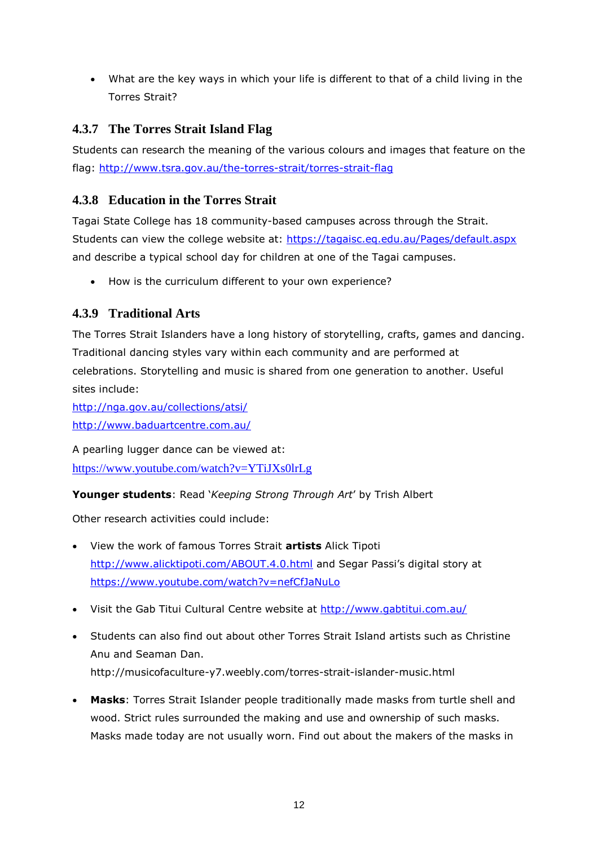What are the key ways in which your life is different to that of a child living in the Torres Strait?

## **4.3.7 The Torres Strait Island Flag**

Students can research the meaning of the various colours and images that feature on the flag: <http://www.tsra.gov.au/the-torres-strait/torres-strait-flag>

## **4.3.8 Education in the Torres Strait**

Tagai State College has 18 community-based campuses across through the Strait. Students can view the college website at:<https://tagaisc.eq.edu.au/Pages/default.aspx> and describe a typical school day for children at one of the Tagai campuses.

How is the curriculum different to your own experience?

## **4.3.9 Traditional Arts**

The Torres Strait Islanders have a long history of storytelling, crafts, games and dancing. Traditional dancing styles vary within each community and are performed at celebrations. Storytelling and music is shared from one generation to another. Useful sites include:

<http://nga.gov.au/collections/atsi/> <http://www.baduartcentre.com.au/>

A pearling lugger dance can be viewed at:

<https://www.youtube.com/watch?v=YTiJXs0lrLg>

**Younger students**: Read '*Keeping Strong Through Art*' by Trish Albert

Other research activities could include:

- View the work of famous Torres Strait **artists** Alick Tipoti <http://www.alicktipoti.com/ABOUT.4.0.html> and Segar Passi's digital story at <https://www.youtube.com/watch?v=nefCfJaNuLo>
- Visit the Gab Titui Cultural Centre website at<http://www.gabtitui.com.au/>
- Students can also find out about other Torres Strait Island artists such as Christine Anu and Seaman Dan. <http://musicofaculture-y7.weebly.com/torres-strait-islander-music.html>
- **Masks**: Torres Strait Islander people traditionally made masks from turtle shell and wood. Strict rules surrounded the making and use and ownership of such masks. Masks made today are not usually worn. Find out about the makers of the masks in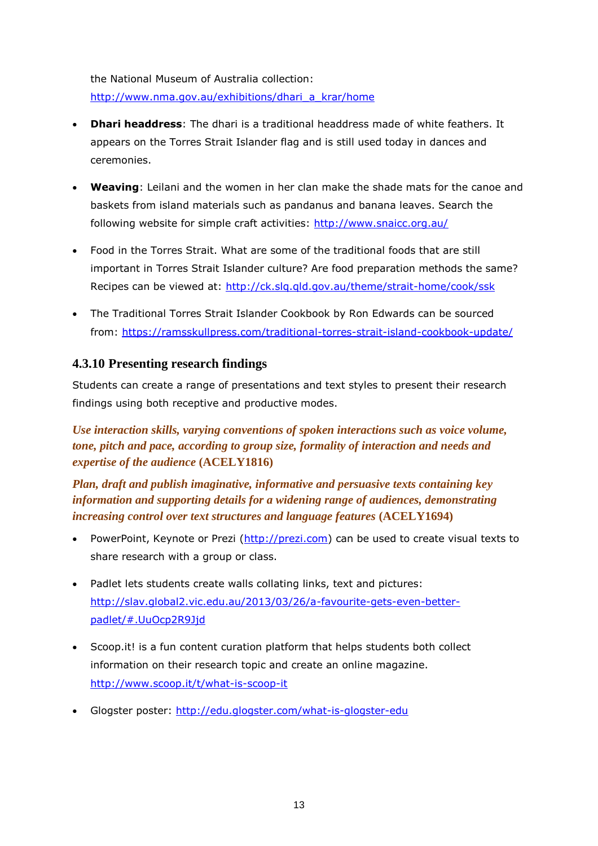the National Museum of Australia collection: [http://www.nma.gov.au/exhibitions/dhari\\_a\\_krar/home](http://www.nma.gov.au/exhibitions/dhari_a_krar/home)

- **Dhari headdress**: The dhari is a traditional headdress made of white feathers. It appears on the Torres Strait Islander flag and is still used today in dances and ceremonies.
- **Weaving**: Leilani and the women in her clan make the shade mats for the canoe and baskets from island materials such as pandanus and banana leaves. Search the following website for simple craft activities:<http://www.snaicc.org.au/>
- Food in the Torres Strait. What are some of the traditional foods that are still important in Torres Strait Islander culture? Are food preparation methods the same? Recipes can be viewed at:<http://ck.slq.qld.gov.au/theme/strait-home/cook/ssk>
- The Traditional Torres Strait Islander Cookbook by Ron Edwards can be sourced from:<https://ramsskullpress.com/traditional-torres-strait-island-cookbook-update/>

## **4.3.10 Presenting research findings**

Students can create a range of presentations and text styles to present their research findings using both receptive and productive modes.

*Use interaction skills, varying conventions of spoken interactions such as voice volume, tone, pitch and pace, according to group size, formality of interaction and needs and expertise of the audience* **(ACELY1816)**

*Plan, draft and publish imaginative, informative and persuasive texts containing key information and supporting details for a widening range of audiences, demonstrating increasing control over text structures and language features* **(ACELY1694)**

- PowerPoint, Keynote or Prezi [\(http://prezi.com\)](http://prezi.com/) can be used to create visual texts to share research with a group or class.
- Padlet lets students create walls collating links, text and pictures: [http://slav.global2.vic.edu.au/2013/03/26/a-favourite-gets-even-better](http://slav.global2.vic.edu.au/2013/03/26/a-favourite-gets-even-better-padlet/%23.UuOcp2R9Jjd)[padlet/#.UuOcp2R9Jjd](http://slav.global2.vic.edu.au/2013/03/26/a-favourite-gets-even-better-padlet/%23.UuOcp2R9Jjd)
- Scoop.it! is a fun content curation platform that helps students both collect information on their research topic and create an online magazine. <http://www.scoop.it/t/what-is-scoop-it>
- Glogster poster:<http://edu.glogster.com/what-is-glogster-edu>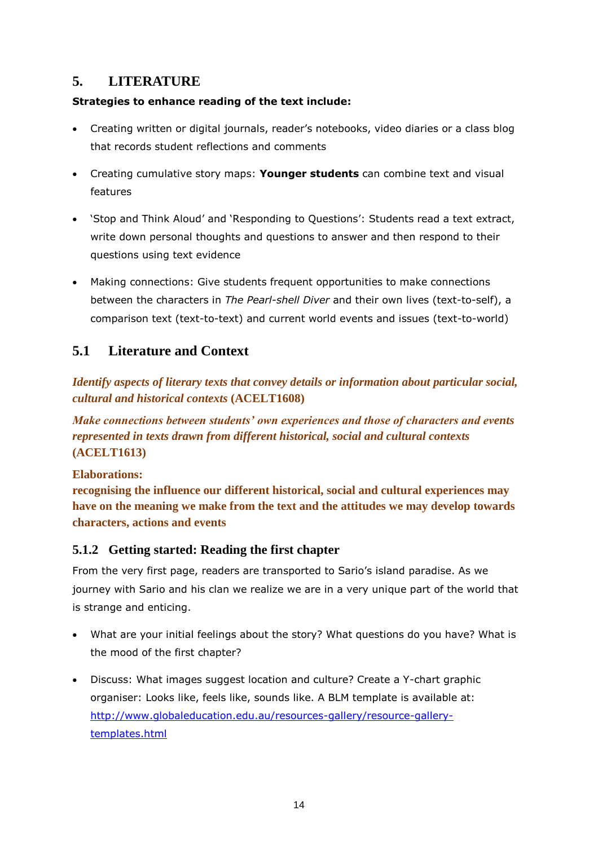## <span id="page-13-0"></span>**5. LITERATURE**

## **Strategies to enhance reading of the text include:**

- Creating written or digital journals, reader's notebooks, video diaries or a class blog that records student reflections and comments
- Creating cumulative story maps: **Younger students** can combine text and visual features
- 'Stop and Think Aloud' and 'Responding to Questions': Students read a text extract, write down personal thoughts and questions to answer and then respond to their questions using text evidence
- Making connections: Give students frequent opportunities to make connections between the characters in *The Pearl-shell Diver* and their own lives (text-to-self), a comparison text (text-to-text) and current world events and issues (text-to-world)

## <span id="page-13-1"></span>**5.1 Literature and Context**

*Identify aspects of literary texts that convey details or information about particular social, cultural and historical contexts* **(ACELT1608)**

*Make connections between students' own experiences and those of characters and events represented in texts drawn from different historical, social and cultural contexts*  **(ACELT1613)**

## **Elaborations:**

**recognising the influence our different historical, social and cultural experiences may have on the meaning we make from the text and the attitudes we may develop towards characters, actions and events**

## **5.1.2 Getting started: Reading the first chapter**

From the very first page, readers are transported to Sario's island paradise. As we journey with Sario and his clan we realize we are in a very unique part of the world that is strange and enticing.

- What are your initial feelings about the story? What questions do you have? What is the mood of the first chapter?
- Discuss: What images suggest location and culture? Create a Y-chart graphic organiser: Looks like, feels like, sounds like. A BLM template is available at: [http://www.globaleducation.edu.au/resources-gallery/resource-gallery](http://www.globaleducation.edu.au/resources-gallery/resource-gallery-templates.html)[templates.html](http://www.globaleducation.edu.au/resources-gallery/resource-gallery-templates.html)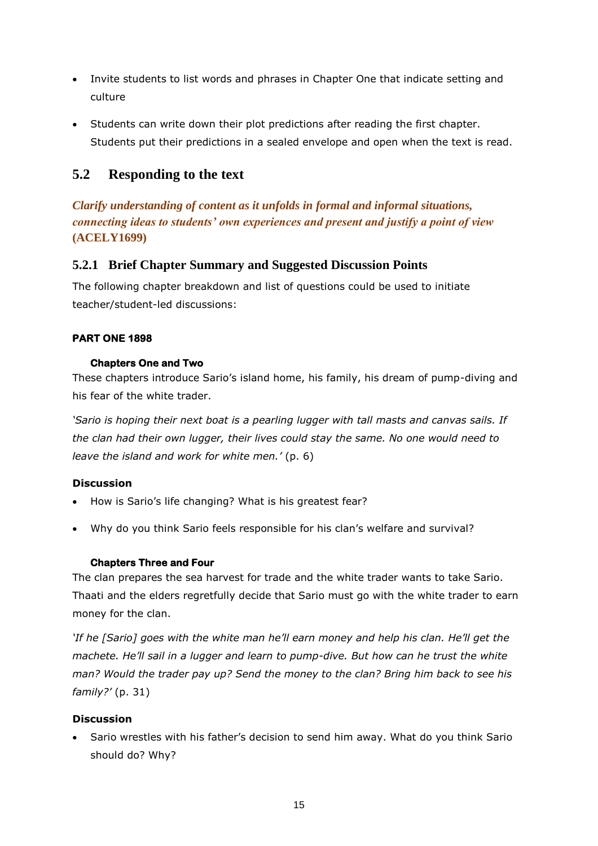- Invite students to list words and phrases in Chapter One that indicate setting and culture
- Students can write down their plot predictions after reading the first chapter. Students put their predictions in a sealed envelope and open when the text is read.

## <span id="page-14-0"></span>**5.2 Responding to the text**

*Clarify understanding of content as it unfolds in formal and informal situations, connecting ideas to students' own experiences and present and justify a point of view*  **(ACELY1699)**

## **5.2.1 Brief Chapter Summary and Suggested Discussion Points**

The following chapter breakdown and list of questions could be used to initiate teacher/student-led discussions:

## **PART ONE 1898**

#### **Chapters One and Two**

These chapters introduce Sario's island home, his family, his dream of pump-diving and his fear of the white trader.

*'Sario is hoping their next boat is a pearling lugger with tall masts and canvas sails. If the clan had their own lugger, their lives could stay the same. No one would need to leave the island and work for white men.'* (p. 6)

#### **Discussion**

- How is Sario's life changing? What is his greatest fear?
- Why do you think Sario feels responsible for his clan's welfare and survival?

#### **Chapters Three and Four**

The clan prepares the sea harvest for trade and the white trader wants to take Sario. Thaati and the elders regretfully decide that Sario must go with the white trader to earn money for the clan.

*'If he [Sario] goes with the white man he'll earn money and help his clan. He'll get the machete. He'll sail in a lugger and learn to pump-dive. But how can he trust the white man? Would the trader pay up? Send the money to the clan? Bring him back to see his family?'* (p. 31)

#### **Discussion**

 Sario wrestles with his father's decision to send him away. What do you think Sario should do? Why?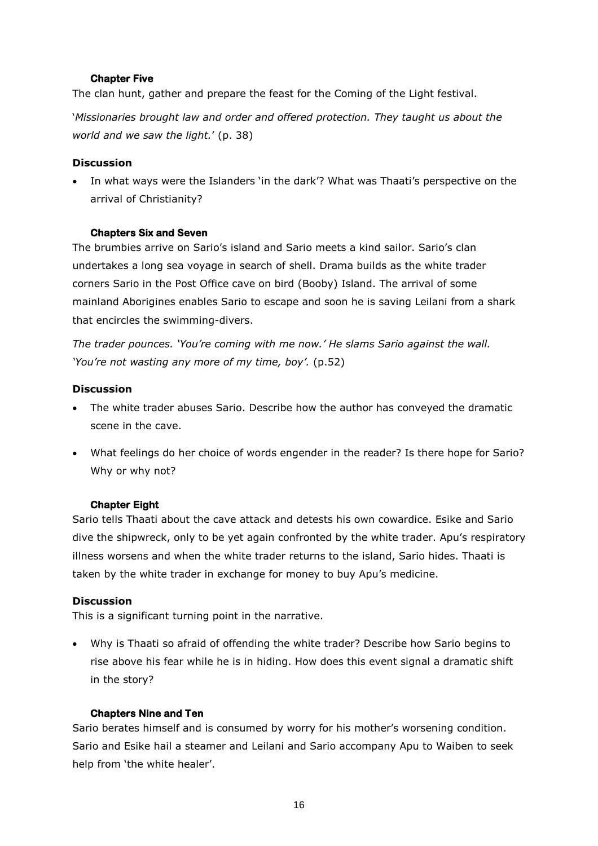#### **Chapter Five**

The clan hunt, gather and prepare the feast for the Coming of the Light festival.

'*Missionaries brought law and order and offered protection. They taught us about the world and we saw the light.*' (p. 38)

#### **Discussion**

 In what ways were the Islanders 'in the dark'? What was Thaati's perspective on the arrival of Christianity?

#### **Chapters Six and Seven**

The brumbies arrive on Sario's island and Sario meets a kind sailor. Sario's clan undertakes a long sea voyage in search of shell. Drama builds as the white trader corners Sario in the Post Office cave on bird (Booby) Island. The arrival of some mainland Aborigines enables Sario to escape and soon he is saving Leilani from a shark that encircles the swimming-divers.

*The trader pounces. 'You're coming with me now.' He slams Sario against the wall. 'You're not wasting any more of my time, boy'.* (p.52)

#### **Discussion**

- The white trader abuses Sario. Describe how the author has conveyed the dramatic scene in the cave.
- What feelings do her choice of words engender in the reader? Is there hope for Sario? Why or why not?

#### **Chapter Eight**

Sario tells Thaati about the cave attack and detests his own cowardice. Esike and Sario dive the shipwreck, only to be yet again confronted by the white trader. Apu's respiratory illness worsens and when the white trader returns to the island, Sario hides. Thaati is taken by the white trader in exchange for money to buy Apu's medicine.

#### **Discussion**

This is a significant turning point in the narrative.

 Why is Thaati so afraid of offending the white trader? Describe how Sario begins to rise above his fear while he is in hiding. How does this event signal a dramatic shift in the story?

#### **Chapters Nine and Ten**

Sario berates himself and is consumed by worry for his mother's worsening condition. Sario and Esike hail a steamer and Leilani and Sario accompany Apu to Waiben to seek help from 'the white healer'.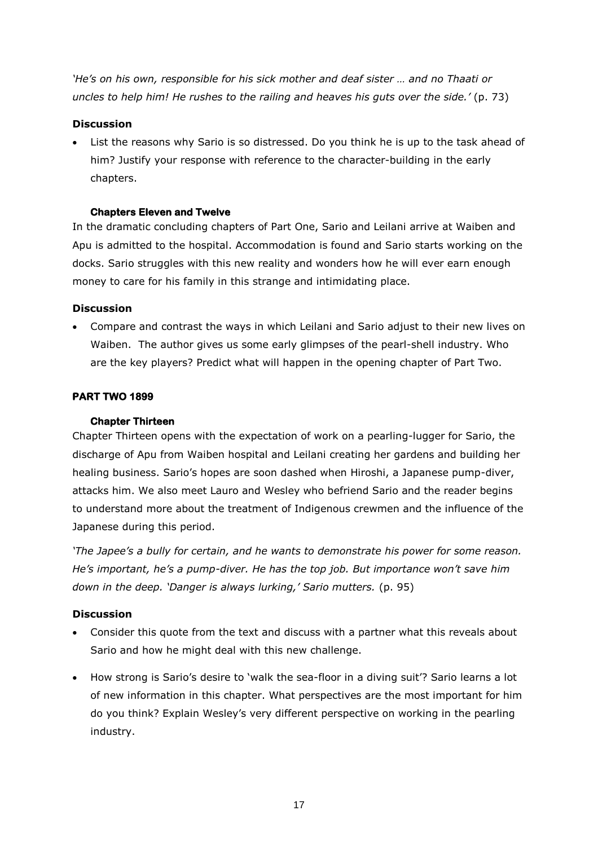*'He's on his own, responsible for his sick mother and deaf sister … and no Thaati or uncles to help him! He rushes to the railing and heaves his guts over the side.'* (p. 73)

#### **Discussion**

 List the reasons why Sario is so distressed. Do you think he is up to the task ahead of him? Justify your response with reference to the character-building in the early chapters.

#### **Chapters Eleven and Twelve**

In the dramatic concluding chapters of Part One, Sario and Leilani arrive at Waiben and Apu is admitted to the hospital. Accommodation is found and Sario starts working on the docks. Sario struggles with this new reality and wonders how he will ever earn enough money to care for his family in this strange and intimidating place.

#### **Discussion**

 Compare and contrast the ways in which Leilani and Sario adjust to their new lives on Waiben. The author gives us some early glimpses of the pearl-shell industry. Who are the key players? Predict what will happen in the opening chapter of Part Two.

#### **PART TWO 1899**

#### **Chapter Thirteen**

Chapter Thirteen opens with the expectation of work on a pearling-lugger for Sario, the discharge of Apu from Waiben hospital and Leilani creating her gardens and building her healing business. Sario's hopes are soon dashed when Hiroshi, a Japanese pump-diver, attacks him. We also meet Lauro and Wesley who befriend Sario and the reader begins to understand more about the treatment of Indigenous crewmen and the influence of the Japanese during this period.

*'The Japee's a bully for certain, and he wants to demonstrate his power for some reason. He's important, he's a pump-diver. He has the top job. But importance won't save him down in the deep. 'Danger is always lurking,' Sario mutters.* (p. 95)

#### **Discussion**

- Consider this quote from the text and discuss with a partner what this reveals about Sario and how he might deal with this new challenge.
- How strong is Sario's desire to 'walk the sea-floor in a diving suit'? Sario learns a lot of new information in this chapter. What perspectives are the most important for him do you think? Explain Wesley's very different perspective on working in the pearling industry.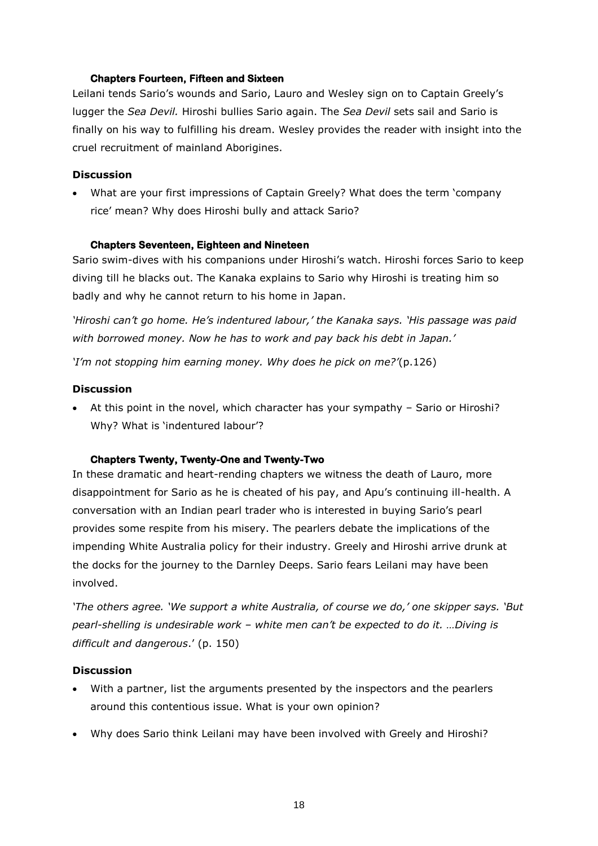#### **Chapters Fourteen, Fifteen and Sixteen**

Leilani tends Sario's wounds and Sario, Lauro and Wesley sign on to Captain Greely's lugger the *Sea Devil.* Hiroshi bullies Sario again. The *Sea Devil* sets sail and Sario is finally on his way to fulfilling his dream. Wesley provides the reader with insight into the cruel recruitment of mainland Aborigines.

#### **Discussion**

 What are your first impressions of Captain Greely? What does the term 'company rice' mean? Why does Hiroshi bully and attack Sario?

#### **Chapters Seventeen, Eighteen and Nineteen**

Sario swim-dives with his companions under Hiroshi's watch. Hiroshi forces Sario to keep diving till he blacks out. The Kanaka explains to Sario why Hiroshi is treating him so badly and why he cannot return to his home in Japan.

*'Hiroshi can't go home. He's indentured labour,' the Kanaka says. 'His passage was paid with borrowed money. Now he has to work and pay back his debt in Japan.'*

*'I'm not stopping him earning money. Why does he pick on me?'*(p.126)

#### **Discussion**

 At this point in the novel, which character has your sympathy – Sario or Hiroshi? Why? What is 'indentured labour'?

#### **Chapters Twenty, Twenty-One and Twenty-Two**

In these dramatic and heart-rending chapters we witness the death of Lauro, more disappointment for Sario as he is cheated of his pay, and Apu's continuing ill-health. A conversation with an Indian pearl trader who is interested in buying Sario's pearl provides some respite from his misery. The pearlers debate the implications of the impending White Australia policy for their industry. Greely and Hiroshi arrive drunk at the docks for the journey to the Darnley Deeps. Sario fears Leilani may have been involved.

*'The others agree. 'We support a white Australia, of course we do,' one skipper says. 'But pearl-shelling is undesirable work – white men can't be expected to do it. …Diving is difficult and dangerous*.' (p. 150)

#### **Discussion**

- With a partner, list the arguments presented by the inspectors and the pearlers around this contentious issue. What is your own opinion?
- Why does Sario think Leilani may have been involved with Greely and Hiroshi?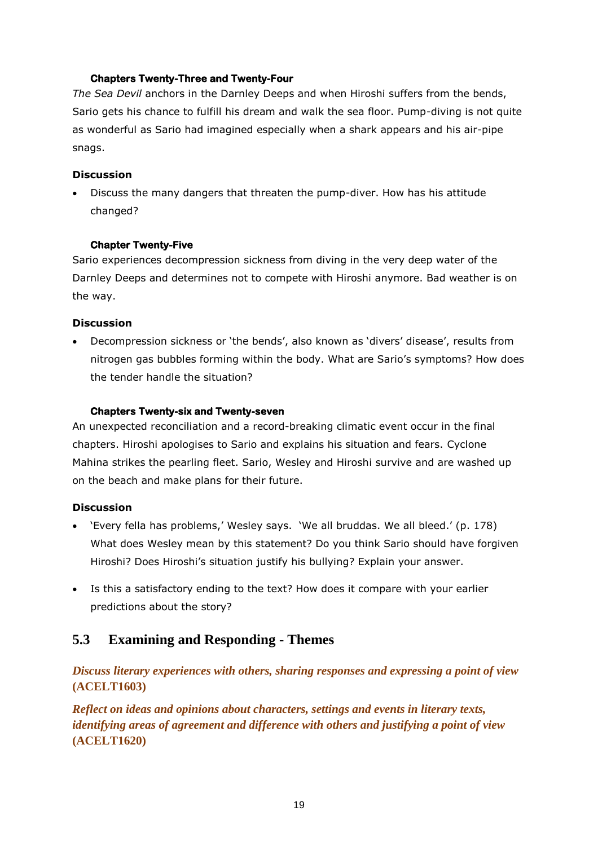#### **Chapters Twenty-Three and Twenty-Four**

*The Sea Devil* anchors in the Darnley Deeps and when Hiroshi suffers from the bends, Sario gets his chance to fulfill his dream and walk the sea floor. Pump-diving is not quite as wonderful as Sario had imagined especially when a shark appears and his air-pipe snags.

#### **Discussion**

 Discuss the many dangers that threaten the pump-diver. How has his attitude changed?

#### **Chapter Twenty-Five**

Sario experiences decompression sickness from diving in the very deep water of the Darnley Deeps and determines not to compete with Hiroshi anymore. Bad weather is on the way.

#### **Discussion**

 Decompression sickness or 'the bends', also known as 'divers' disease', results from nitrogen gas bubbles forming within the body. What are Sario's symptoms? How does the tender handle the situation?

#### **Chapters Twenty-six and Twenty-seven**

An unexpected reconciliation and a record-breaking climatic event occur in the final chapters. Hiroshi apologises to Sario and explains his situation and fears. Cyclone Mahina strikes the pearling fleet. Sario, Wesley and Hiroshi survive and are washed up on the beach and make plans for their future.

#### **Discussion**

- 'Every fella has problems,' Wesley says. 'We all bruddas. We all bleed.' (p. 178) What does Wesley mean by this statement? Do you think Sario should have forgiven Hiroshi? Does Hiroshi's situation justify his bullying? Explain your answer.
- Is this a satisfactory ending to the text? How does it compare with your earlier predictions about the story?

## <span id="page-18-0"></span>**5.3 Examining and Responding - Themes**

*Discuss literary experiences with others, sharing responses and expressing a point of view*  **(ACELT1603)**

*Reflect on ideas and opinions about characters, settings and events in literary texts, identifying areas of agreement and difference with others and justifying a point of view*  **(ACELT1620)**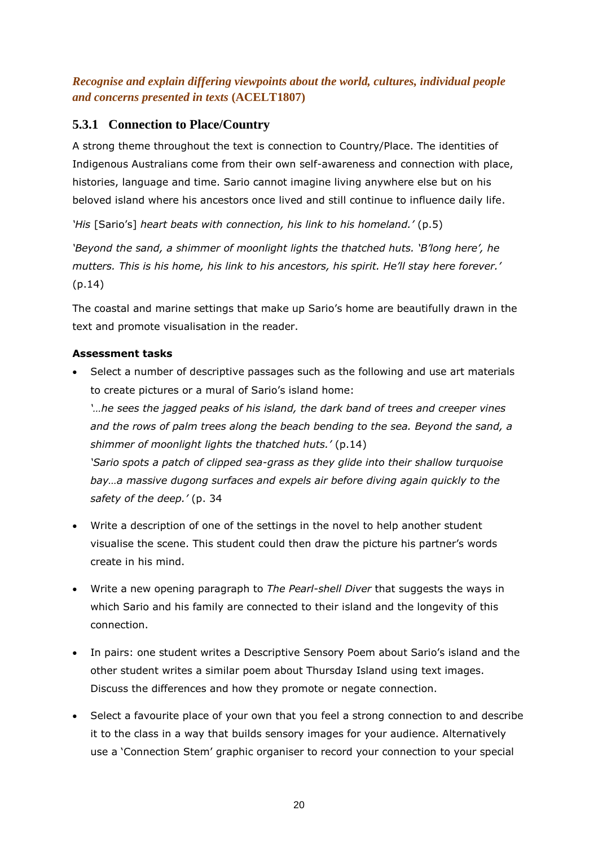*Recognise and explain differing viewpoints about the world, cultures, individual people and concerns presented in texts* **(ACELT1807)**

## **5.3.1 Connection to Place/Country**

A strong theme throughout the text is connection to Country/Place. The identities of Indigenous Australians come from their own self-awareness and connection with place, histories, language and time. Sario cannot imagine living anywhere else but on his beloved island where his ancestors once lived and still continue to influence daily life.

*'His* [Sario's] *heart beats with connection, his link to his homeland.'* (p.5)

*'Beyond the sand, a shimmer of moonlight lights the thatched huts. 'B'long here', he mutters. This is his home, his link to his ancestors, his spirit. He'll stay here forever.'* (p.14)

The coastal and marine settings that make up Sario's home are beautifully drawn in the text and promote visualisation in the reader.

#### **Assessment tasks**

 Select a number of descriptive passages such as the following and use art materials to create pictures or a mural of Sario's island home: *'…he sees the jagged peaks of his island, the dark band of trees and creeper vines* 

*and the rows of palm trees along the beach bending to the sea. Beyond the sand, a shimmer of moonlight lights the thatched huts.'* (p.14) *'Sario spots a patch of clipped sea-grass as they glide into their shallow turquoise bay…a massive dugong surfaces and expels air before diving again quickly to the safety of the deep.'* (p. 34

- Write a description of one of the settings in the novel to help another student visualise the scene. This student could then draw the picture his partner's words create in his mind.
- Write a new opening paragraph to *The Pearl-shell Diver* that suggests the ways in which Sario and his family are connected to their island and the longevity of this connection.
- In pairs: one student writes a Descriptive Sensory Poem about Sario's island and the other student writes a similar poem about Thursday Island using text images. Discuss the differences and how they promote or negate connection.
- Select a favourite place of your own that you feel a strong connection to and describe it to the class in a way that builds sensory images for your audience. Alternatively use a 'Connection Stem' graphic organiser to record your connection to your special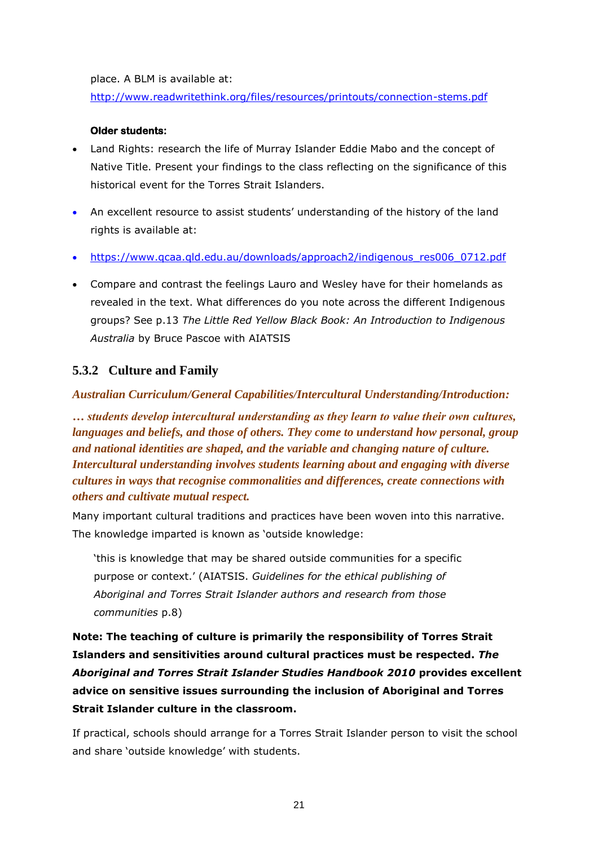place. A BLM is available at:

<http://www.readwritethink.org/files/resources/printouts/connection-stems.pdf>

#### **Older students:**

- Land Rights: research the life of Murray Islander Eddie Mabo and the concept of Native Title. Present your findings to the class reflecting on the significance of this historical event for the Torres Strait Islanders.
- An excellent resource to assist students' understanding of the history of the land rights is available at:
- [https://www.qcaa.qld.edu.au/downloads/approach2/indigenous\\_res006\\_0712.pdf](https://www.qcaa.qld.edu.au/downloads/approach2/indigenous_res006_0712.pdf)
- Compare and contrast the feelings Lauro and Wesley have for their homelands as revealed in the text. What differences do you note across the different Indigenous groups? See p.13 *The Little Red Yellow Black Book: An Introduction to Indigenous Australia* by Bruce Pascoe with AIATSIS

## **5.3.2 Culture and Family**

*Australian Curriculum/General Capabilities/Intercultural Understanding/Introduction:*

*… students develop intercultural understanding as they learn to value their own cultures, languages and beliefs, and those of others. They come to understand how personal, group and national identities are shaped, and the variable and changing nature of culture. Intercultural understanding involves students learning about and engaging with diverse cultures in ways that recognise commonalities and differences, create connections with others and cultivate mutual respect.* 

Many important cultural traditions and practices have been woven into this narrative. The knowledge imparted is known as 'outside knowledge:

'this is knowledge that may be shared outside communities for a specific purpose or context.' (AIATSIS. *Guidelines for the ethical publishing of Aboriginal and Torres Strait Islander authors and research from those communities* p.8)

**Note: The teaching of culture is primarily the responsibility of Torres Strait Islanders and sensitivities around cultural practices must be respected.** *The Aboriginal and Torres Strait Islander Studies Handbook 2010* **provides excellent advice on sensitive issues surrounding the inclusion of Aboriginal and Torres Strait Islander culture in the classroom.** 

If practical, schools should arrange for a Torres Strait Islander person to visit the school and share 'outside knowledge' with students.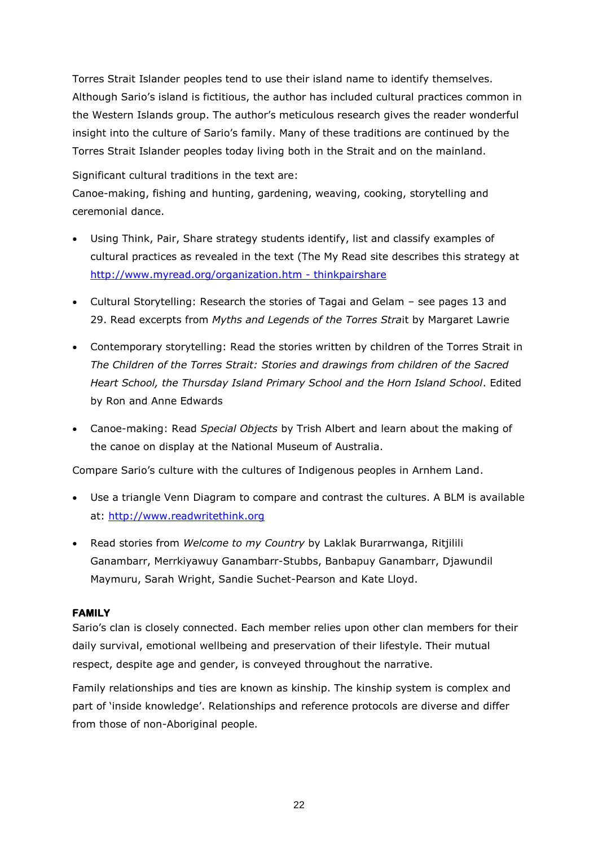Torres Strait Islander peoples tend to use their island name to identify themselves. Although Sario's island is fictitious, the author has included cultural practices common in the Western Islands group. The author's meticulous research gives the reader wonderful insight into the culture of Sario's family. Many of these traditions are continued by the Torres Strait Islander peoples today living both in the Strait and on the mainland.

Significant cultural traditions in the text are:

Canoe-making, fishing and hunting, gardening, weaving, cooking, storytelling and ceremonial dance.

- Using Think, Pair, Share strategy students identify, list and classify examples of cultural practices as revealed in the text (The My Read site describes this strategy at [http://www.myread.org/organization.htm -](http://www.myread.org/organization.htm#thinkpairshare) thinkpairshare
- Cultural Storytelling: Research the stories of Tagai and Gelam see pages 13 and 29. Read excerpts from *Myths and Legends of the Torres Stra*it by Margaret Lawrie
- Contemporary storytelling: Read the stories written by children of the Torres Strait in *The Children of the Torres Strait: Stories and drawings from children of the Sacred Heart School, the Thursday Island Primary School and the Horn Island School*. Edited by Ron and Anne Edwards
- Canoe-making: Read *Special Objects* by Trish Albert and learn about the making of the canoe on display at the National Museum of Australia.

Compare Sario's culture with the cultures of Indigenous peoples in Arnhem Land.

- Use a triangle Venn Diagram to compare and contrast the cultures. A BLM is available at: [http://www.readwritethink.org](http://www.readwritethink.org/)
- Read stories from *Welcome to my Country* by Laklak Burarrwanga, Ritjilili Ganambarr, Merrkiyawuy Ganambarr-Stubbs, Banbapuy Ganambarr, Djawundil Maymuru, Sarah Wright, Sandie Suchet-Pearson and Kate Lloyd.

#### **FAMILY**

Sario's clan is closely connected. Each member relies upon other clan members for their daily survival, emotional wellbeing and preservation of their lifestyle. Their mutual respect, despite age and gender, is conveyed throughout the narrative.

Family relationships and ties are known as kinship. The kinship system is complex and part of 'inside knowledge'. Relationships and reference protocols are diverse and differ from those of non-Aboriginal people.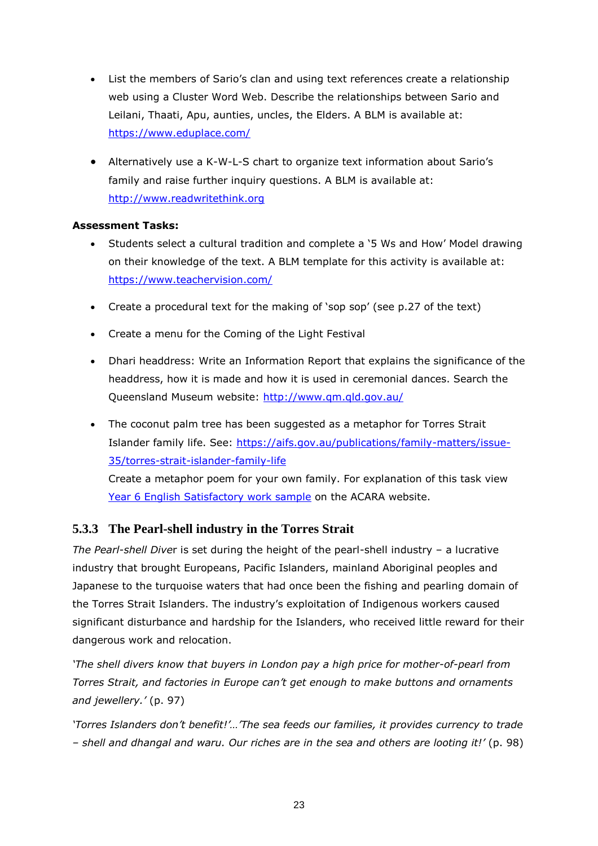- List the members of Sario's clan and using text references create a relationship web using a Cluster Word Web. Describe the relationships between Sario and Leilani, Thaati, Apu, aunties, uncles, the Elders. A BLM is available at: <https://www.eduplace.com/>
- Alternatively use a K-W-L-S chart to organize text information about Sario's family and raise further inquiry questions. A BLM is available at: [http://www.readwritethink.org](http://www.readwritethink.org/)

## **Assessment Tasks:**

- Students select a cultural tradition and complete a '5 Ws and How' Model drawing on their knowledge of the text. A BLM template for this activity is available at: <https://www.teachervision.com/>
- Create a procedural text for the making of 'sop sop' (see p.27 of the text)
- Create a menu for the Coming of the Light Festival
- Dhari headdress: Write an Information Report that explains the significance of the headdress, how it is made and how it is used in ceremonial dances. Search the Queensland Museum website: <http://www.qm.qld.gov.au/>
- The coconut palm tree has been suggested as a metaphor for Torres Strait Islander family life. See: [https://aifs.gov.au/publications/family-matters/issue-](https://aifs.gov.au/publications/family-matters/issue-35/torres-strait-islander-family-life)[35/torres-strait-islander-family-life](https://aifs.gov.au/publications/family-matters/issue-35/torres-strait-islander-family-life) Create a metaphor poem for your own family. For explanation of this task view [Year 6 English Satisfactory work sample](http://www.acara.edu.au/curriculum/worksamples/Year_6_English_Portfolio_Satisfactory.pdf) on the ACARA website.

## **5.3.3 The Pearl-shell industry in the Torres Strait**

*The Pearl-shell Dive*r is set during the height of the pearl-shell industry – a lucrative industry that brought Europeans, Pacific Islanders, mainland Aboriginal peoples and Japanese to the turquoise waters that had once been the fishing and pearling domain of the Torres Strait Islanders. The industry's exploitation of Indigenous workers caused significant disturbance and hardship for the Islanders, who received little reward for their dangerous work and relocation.

*'The shell divers know that buyers in London pay a high price for mother-of-pearl from Torres Strait, and factories in Europe can't get enough to make buttons and ornaments and jewellery.'* (p. 97)

*'Torres Islanders don't benefit!'…'The sea feeds our families, it provides currency to trade – shell and dhangal and waru. Our riches are in the sea and others are looting it!'* (p. 98)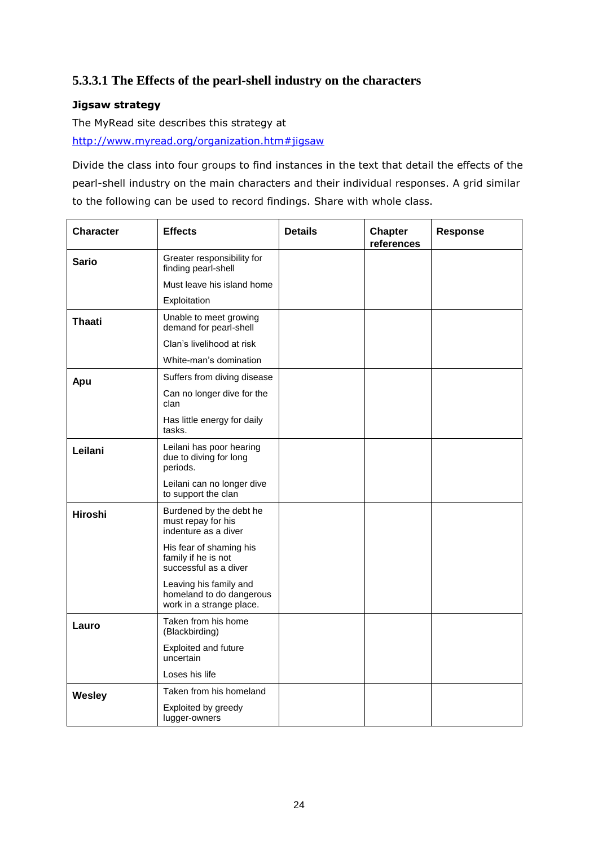## **5.3.3.1 The Effects of the pearl-shell industry on the characters**

## **Jigsaw strategy**

The MyRead site describes this strategy at

[http://www.myread.org/organization.htm#jigsaw](http://www.myread.org/organization.htm%23jigsaw)

Divide the class into four groups to find instances in the text that detail the effects of the pearl-shell industry on the main characters and their individual responses. A grid similar to the following can be used to record findings. Share with whole class.

| <b>Character</b> | <b>Effects</b>                                                                 | <b>Details</b> | <b>Chapter</b><br>references | <b>Response</b> |
|------------------|--------------------------------------------------------------------------------|----------------|------------------------------|-----------------|
| Sario            | Greater responsibility for<br>finding pearl-shell                              |                |                              |                 |
|                  | Must leave his island home                                                     |                |                              |                 |
|                  | Exploitation                                                                   |                |                              |                 |
| <b>Thaati</b>    | Unable to meet growing<br>demand for pearl-shell                               |                |                              |                 |
|                  | Clan's livelihood at risk                                                      |                |                              |                 |
|                  | White-man's domination                                                         |                |                              |                 |
| Apu              | Suffers from diving disease                                                    |                |                              |                 |
|                  | Can no longer dive for the<br>clan                                             |                |                              |                 |
|                  | Has little energy for daily<br>tasks.                                          |                |                              |                 |
| Leilani          | Leilani has poor hearing<br>due to diving for long<br>periods.                 |                |                              |                 |
|                  | Leilani can no longer dive<br>to support the clan                              |                |                              |                 |
| <b>Hiroshi</b>   | Burdened by the debt he<br>must repay for his<br>indenture as a diver          |                |                              |                 |
|                  | His fear of shaming his<br>family if he is not<br>successful as a diver        |                |                              |                 |
|                  | Leaving his family and<br>homeland to do dangerous<br>work in a strange place. |                |                              |                 |
| Lauro            | Taken from his home<br>(Blackbirding)                                          |                |                              |                 |
|                  | Exploited and future<br>uncertain                                              |                |                              |                 |
|                  | Loses his life                                                                 |                |                              |                 |
| <b>Wesley</b>    | Taken from his homeland                                                        |                |                              |                 |
|                  | Exploited by greedy<br>lugger-owners                                           |                |                              |                 |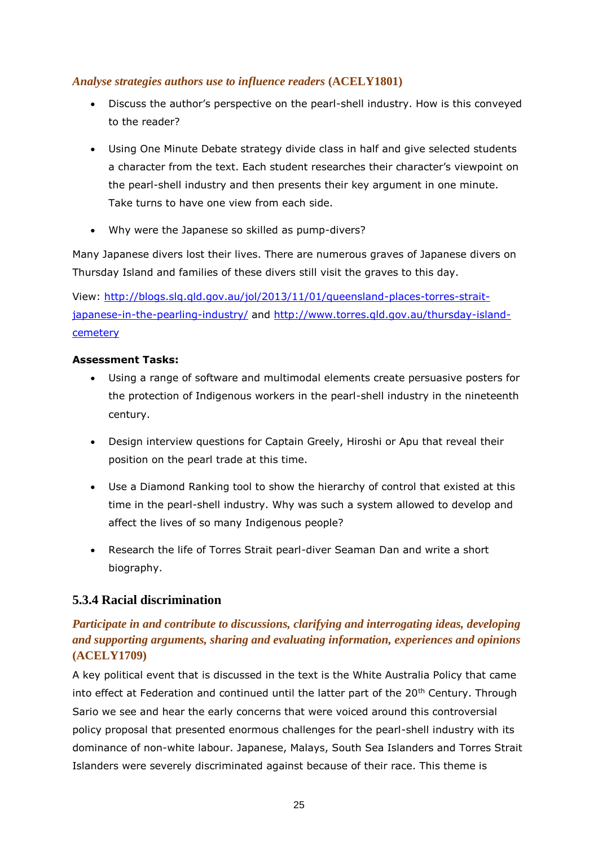## *Analyse strategies authors use to influence readers* **(ACELY1801)**

- Discuss the author's perspective on the pearl-shell industry. How is this conveyed to the reader?
- Using One Minute Debate strategy divide class in half and give selected students a character from the text. Each student researches their character's viewpoint on the pearl-shell industry and then presents their key argument in one minute. Take turns to have one view from each side.
- Why were the Japanese so skilled as pump-divers?

Many Japanese divers lost their lives. There are numerous graves of Japanese divers on Thursday Island and families of these divers still visit the graves to this day.

View: [http://blogs.slq.qld.gov.au/jol/2013/11/01/queensland-places-torres-strait](http://blogs.slq.qld.gov.au/jol/2013/11/01/queensland-places-torres-strait-japanese-in-the-pearling-industry/)[japanese-in-the-pearling-industry/](http://blogs.slq.qld.gov.au/jol/2013/11/01/queensland-places-torres-strait-japanese-in-the-pearling-industry/) and [http://www.torres.qld.gov.au/thursday-island](http://www.torres.qld.gov.au/thursday-island-cemetery)[cemetery](http://www.torres.qld.gov.au/thursday-island-cemetery)

#### **Assessment Tasks:**

- Using a range of software and multimodal elements create persuasive posters for the protection of Indigenous workers in the pearl-shell industry in the nineteenth century.
- Design interview questions for Captain Greely, Hiroshi or Apu that reveal their position on the pearl trade at this time.
- Use a Diamond Ranking tool to show the hierarchy of control that existed at this time in the pearl-shell industry. Why was such a system allowed to develop and affect the lives of so many Indigenous people?
- Research the life of Torres Strait pearl-diver Seaman Dan and write a short biography.

## **5.3.4 Racial discrimination**

## *Participate in and contribute to discussions, clarifying and interrogating ideas, developing and supporting arguments, sharing and evaluating information, experiences and opinions*  **(ACELY1709)**

A key political event that is discussed in the text is the White Australia Policy that came into effect at Federation and continued until the latter part of the  $20<sup>th</sup>$  Century. Through Sario we see and hear the early concerns that were voiced around this controversial policy proposal that presented enormous challenges for the pearl-shell industry with its dominance of non-white labour. Japanese, Malays, South Sea Islanders and Torres Strait Islanders were severely discriminated against because of their race. This theme is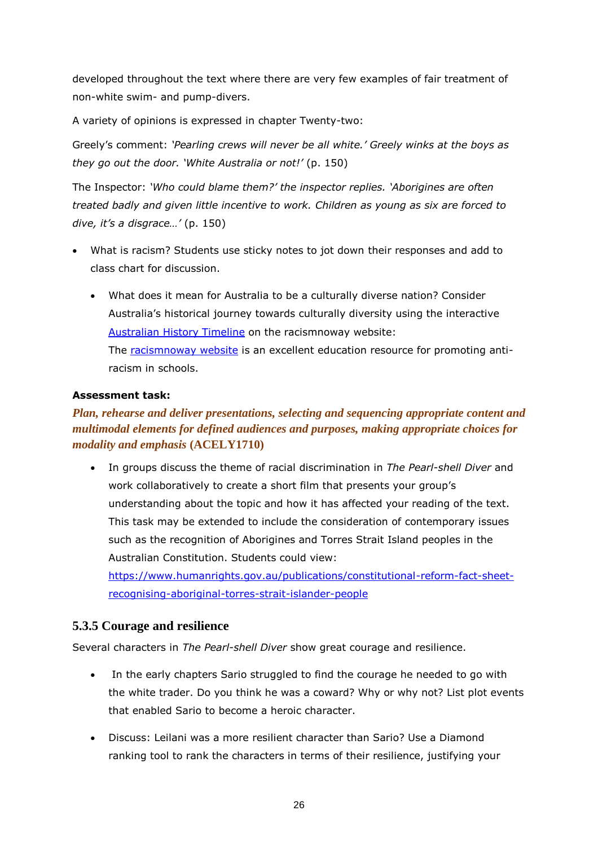developed throughout the text where there are very few examples of fair treatment of non-white swim- and pump-divers.

A variety of opinions is expressed in chapter Twenty-two:

Greely's comment: *'Pearling crews will never be all white.' Greely winks at the boys as they go out the door. 'White Australia or not!'* (p. 150)

The Inspector: *'Who could blame them?' the inspector replies. 'Aborigines are often treated badly and given little incentive to work. Children as young as six are forced to dive, it's a disgrace…'* (p. 150)

- What is racism? Students use sticky notes to jot down their responses and add to class chart for discussion.
	- What does it mean for Australia to be a culturally diverse nation? Consider Australia's historical journey towards culturally diversity using the interactive [Australian History Timeline](http://www.racismnoway.com.au/about-racism/timeline/index.html) on the racismnoway website: The [racismnoway website](http://www.racismnoway.com.au/index.html) is an excellent education resource for promoting antiracism in schools.

#### **Assessment task:**

## *Plan, rehearse and deliver presentations, selecting and sequencing appropriate content and multimodal elements for defined audiences and purposes, making appropriate choices for modality and emphasis* **(ACELY1710)**

 In groups discuss the theme of racial discrimination in *The Pearl-shell Diver* and work collaboratively to create a short film that presents your group's understanding about the topic and how it has affected your reading of the text. This task may be extended to include the consideration of contemporary issues such as the recognition of Aborigines and Torres Strait Island peoples in the Australian Constitution. Students could view:

[https://www.humanrights.gov.au/publications/constitutional-reform-fact-sheet](https://www.humanrights.gov.au/publications/constitutional-reform-fact-sheet-recognising-aboriginal-torres-strait-islander-people)[recognising-aboriginal-torres-strait-islander-people](https://www.humanrights.gov.au/publications/constitutional-reform-fact-sheet-recognising-aboriginal-torres-strait-islander-people)

## **5.3.5 Courage and resilience**

Several characters in *The Pearl-shell Diver* show great courage and resilience.

- In the early chapters Sario struggled to find the courage he needed to go with the white trader. Do you think he was a coward? Why or why not? List plot events that enabled Sario to become a heroic character.
- Discuss: Leilani was a more resilient character than Sario? Use a Diamond ranking tool to rank the characters in terms of their resilience, justifying your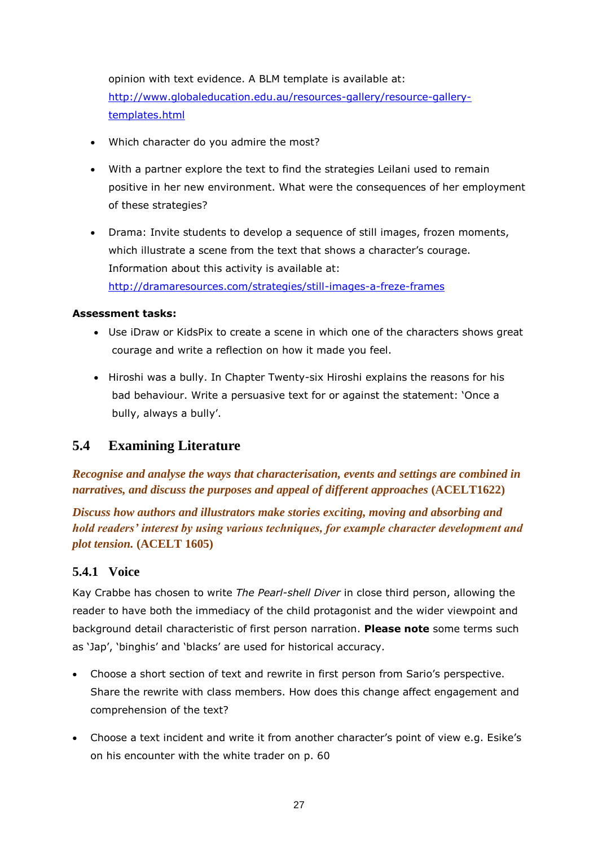opinion with text evidence. A BLM template is available at: [http://www.globaleducation.edu.au/resources-gallery/resource-gallery](http://www.globaleducation.edu.au/resources-gallery/resource-gallery-templates.html)[templates.html](http://www.globaleducation.edu.au/resources-gallery/resource-gallery-templates.html)

- Which character do you admire the most?
- With a partner explore the text to find the strategies Leilani used to remain positive in her new environment. What were the consequences of her employment of these strategies?
- Drama: Invite students to develop a sequence of still images, frozen moments, which illustrate a scene from the text that shows a character's courage. Information about this activity is available at: <http://dramaresources.com/strategies/still-images-a-freze-frames>

#### **Assessment tasks:**

- Use iDraw or KidsPix to create a scene in which one of the characters shows great courage and write a reflection on how it made you feel.
- Hiroshi was a bully. In Chapter Twenty-six Hiroshi explains the reasons for his bad behaviour. Write a persuasive text for or against the statement: 'Once a bully, always a bully'.

## <span id="page-26-0"></span>**5.4 Examining Literature**

*Recognise and analyse the ways that characterisation, events and settings are combined in narratives, and discuss the purposes and appeal of different approaches* **(ACELT1622)**

*Discuss how authors and illustrators make stories exciting, moving and absorbing and hold readers' interest by using various techniques, for example character development and plot tension.* **(ACELT 1605)**

## **5.4.1 Voice**

Kay Crabbe has chosen to write *The Pearl-shell Diver* in close third person, allowing the reader to have both the immediacy of the child protagonist and the wider viewpoint and background detail characteristic of first person narration. **Please note** some terms such as 'Jap', 'binghis' and 'blacks' are used for historical accuracy.

- Choose a short section of text and rewrite in first person from Sario's perspective. Share the rewrite with class members. How does this change affect engagement and comprehension of the text?
- Choose a text incident and write it from another character's point of view e.g. Esike's on his encounter with the white trader on p. 60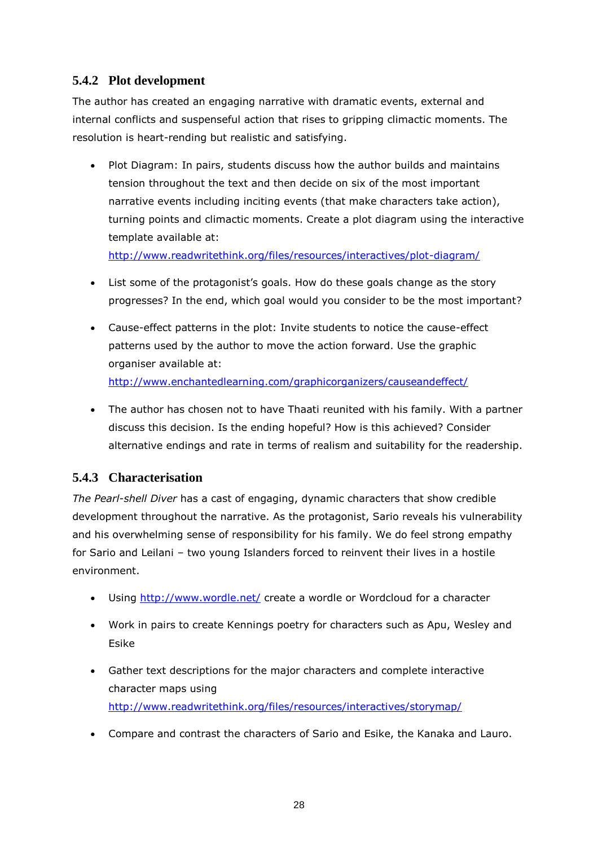## **5.4.2 Plot development**

The author has created an engaging narrative with dramatic events, external and internal conflicts and suspenseful action that rises to gripping climactic moments. The resolution is heart-rending but realistic and satisfying.

• Plot Diagram: In pairs, students discuss how the author builds and maintains tension throughout the text and then decide on six of the most important narrative events including inciting events (that make characters take action), turning points and climactic moments. Create a plot diagram using the interactive template available at:

<http://www.readwritethink.org/files/resources/interactives/plot-diagram/>

- List some of the protagonist's goals. How do these goals change as the story progresses? In the end, which goal would you consider to be the most important?
- Cause-effect patterns in the plot: Invite students to notice the cause-effect patterns used by the author to move the action forward. Use the graphic organiser available at: <http://www.enchantedlearning.com/graphicorganizers/causeandeffect/>
- The author has chosen not to have Thaati reunited with his family. With a partner discuss this decision. Is the ending hopeful? How is this achieved? Consider alternative endings and rate in terms of realism and suitability for the readership.

## **5.4.3 Characterisation**

*The Pearl-shell Diver* has a cast of engaging, dynamic characters that show credible development throughout the narrative. As the protagonist, Sario reveals his vulnerability and his overwhelming sense of responsibility for his family. We do feel strong empathy for Sario and Leilani – two young Islanders forced to reinvent their lives in a hostile environment.

- Using<http://www.wordle.net/> create a wordle or Wordcloud for a character
- Work in pairs to create Kennings poetry for characters such as Apu, Wesley and Esike
- Gather text descriptions for the major characters and complete interactive character maps using <http://www.readwritethink.org/files/resources/interactives/storymap/>
- Compare and contrast the characters of Sario and Esike, the Kanaka and Lauro.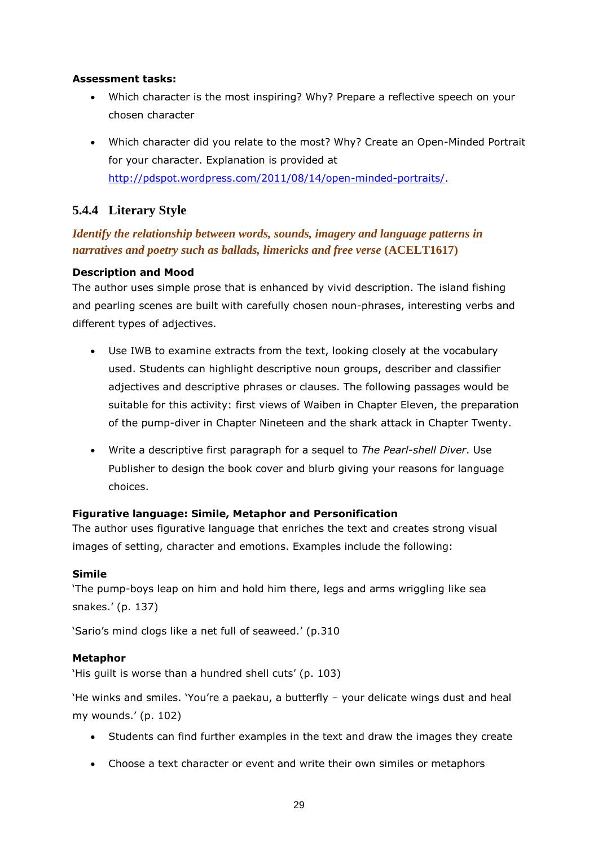#### **Assessment tasks:**

- Which character is the most inspiring? Why? Prepare a reflective speech on your chosen character
- Which character did you relate to the most? Why? Create an Open-Minded Portrait for your character. Explanation is provided at [http://pdspot.wordpress.com/2011/08/14/open-minded-portraits/.](http://pdspot.wordpress.com/2011/08/14/open-minded-portraits/)

## **5.4.4 Literary Style**

## *Identify the relationship between words, sounds, imagery and language patterns in narratives and poetry such as ballads, limericks and free verse* **(ACELT1617)**

## **Description and Mood**

The author uses simple prose that is enhanced by vivid description. The island fishing and pearling scenes are built with carefully chosen noun-phrases, interesting verbs and different types of adjectives.

- Use IWB to examine extracts from the text, looking closely at the vocabulary used. Students can highlight descriptive noun groups, describer and classifier adjectives and descriptive phrases or clauses. The following passages would be suitable for this activity: first views of Waiben in Chapter Eleven, the preparation of the pump-diver in Chapter Nineteen and the shark attack in Chapter Twenty.
- Write a descriptive first paragraph for a sequel to *The Pearl-shell Diver*. Use Publisher to design the book cover and blurb giving your reasons for language choices.

## **Figurative language: Simile, Metaphor and Personification**

The author uses figurative language that enriches the text and creates strong visual images of setting, character and emotions. Examples include the following:

#### **Simile**

'The pump-boys leap on him and hold him there, legs and arms wriggling like sea snakes.' (p. 137)

'Sario's mind clogs like a net full of seaweed.' (p.310

## **Metaphor**

'His guilt is worse than a hundred shell cuts' (p. 103)

'He winks and smiles. 'You're a paekau, a butterfly – your delicate wings dust and heal my wounds.' (p. 102)

- Students can find further examples in the text and draw the images they create
- Choose a text character or event and write their own similes or metaphors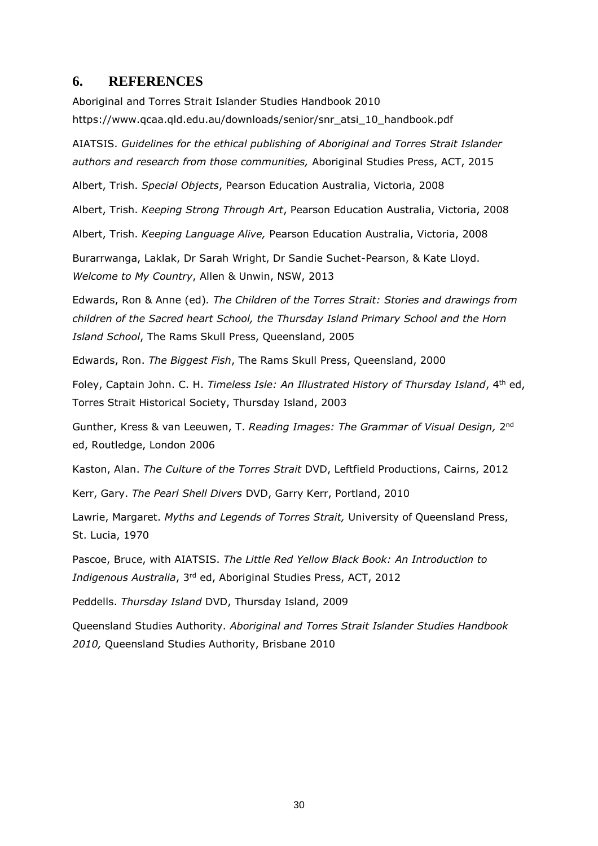#### <span id="page-29-0"></span>**6. REFERENCES**

Aboriginal and Torres Strait Islander Studies Handbook 2010 https://www.qcaa.qld.edu.au/downloads/senior/snr\_atsi\_10\_handbook.pdf

AIATSIS. *Guidelines for the ethical publishing of Aboriginal and Torres Strait Islander authors and research from those communities,* Aboriginal Studies Press, ACT, 2015

Albert, Trish. *Special Objects*, Pearson Education Australia, Victoria, 2008

Albert, Trish. *Keeping Strong Through Art*, Pearson Education Australia, Victoria, 2008

Albert, Trish. *Keeping Language Alive,* Pearson Education Australia, Victoria, 2008

Burarrwanga, Laklak, Dr Sarah Wright, Dr Sandie Suchet-Pearson, & Kate Lloyd. *Welcome to My Country*, Allen & Unwin, NSW, 2013

Edwards, Ron & Anne (ed)*. The Children of the Torres Strait: Stories and drawings from children of the Sacred heart School, the Thursday Island Primary School and the Horn Island School*, The Rams Skull Press, Queensland, 2005

Edwards, Ron. *The Biggest Fish*, The Rams Skull Press, Queensland, 2000

Foley, Captain John. C. H. *Timeless Isle: An Illustrated History of Thursday Island*, 4th ed, Torres Strait Historical Society, Thursday Island, 2003

Gunther, Kress & van Leeuwen, T. *Reading Images: The Grammar of Visual Design,* 2<sup>nd</sup> ed, Routledge, London 2006

Kaston, Alan. *The Culture of the Torres Strait* DVD, Leftfield Productions, Cairns, 2012

Kerr, Gary. *The Pearl Shell Divers* DVD, Garry Kerr, Portland, 2010

Lawrie, Margaret. *Myths and Legends of Torres Strait,* University of Queensland Press, St. Lucia, 1970

Pascoe, Bruce, with AIATSIS. *The Little Red Yellow Black Book: An Introduction to Indigenous Australia*, 3rd ed, Aboriginal Studies Press, ACT, 2012

Peddells. *Thursday Island* DVD, Thursday Island, 2009

Queensland Studies Authority. *Aboriginal and Torres Strait Islander Studies Handbook 2010,* Queensland Studies Authority, Brisbane 2010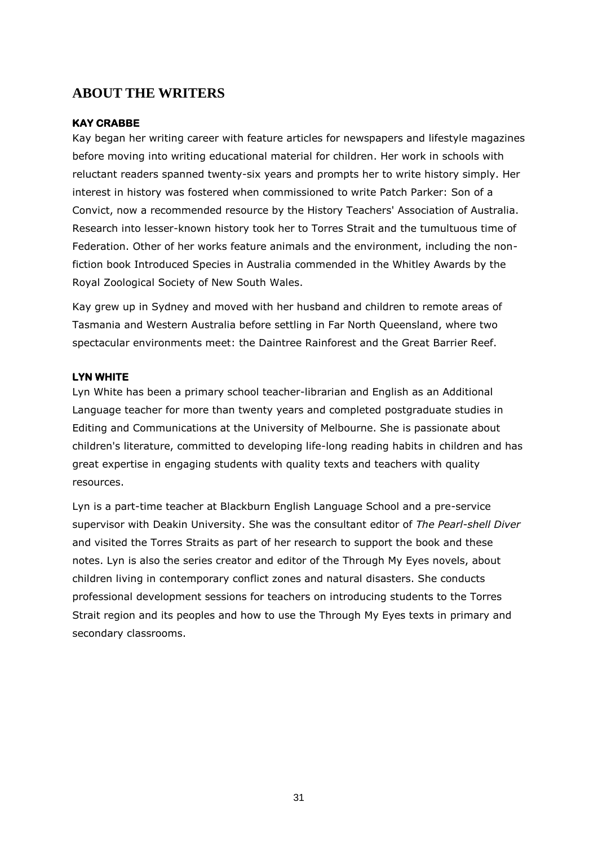## <span id="page-30-0"></span>**ABOUT THE WRITERS**

#### **KAY CRABBE**

Kay began her writing career with feature articles for newspapers and lifestyle magazines before moving into writing educational material for children. Her work in schools with reluctant readers spanned twenty-six years and prompts her to write history simply. Her interest in history was fostered when commissioned to write Patch Parker: Son of a Convict, now a recommended resource by the History Teachers' Association of Australia. Research into lesser-known history took her to Torres Strait and the tumultuous time of Federation. Other of her works feature animals and the environment, including the nonfiction book Introduced Species in Australia commended in the Whitley Awards by the Royal Zoological Society of New South Wales.

Kay grew up in Sydney and moved with her husband and children to remote areas of Tasmania and Western Australia before settling in Far North Queensland, where two spectacular environments meet: the Daintree Rainforest and the Great Barrier Reef.

#### **LYN WHITE**

Lyn White has been a primary school teacher-librarian and English as an Additional Language teacher for more than twenty years and completed postgraduate studies in Editing and Communications at the University of Melbourne. She is passionate about children's literature, committed to developing life-long reading habits in children and has great expertise in engaging students with quality texts and teachers with quality resources.

Lyn is a part-time teacher at Blackburn English Language School and a pre-service supervisor with Deakin University. She was the consultant editor of *The Pearl-shell Diver* and visited the Torres Straits as part of her research to support the book and these notes. Lyn is also the series creator and editor of the [Through My Eyes](http://throughmyeyesbooks.com.au/) novels, about children living in contemporary conflict zones and natural disasters. She conducts professional development sessions for teachers on introducing students to the Torres Strait region and its peoples and how to use the Through My Eyes texts in primary and secondary classrooms.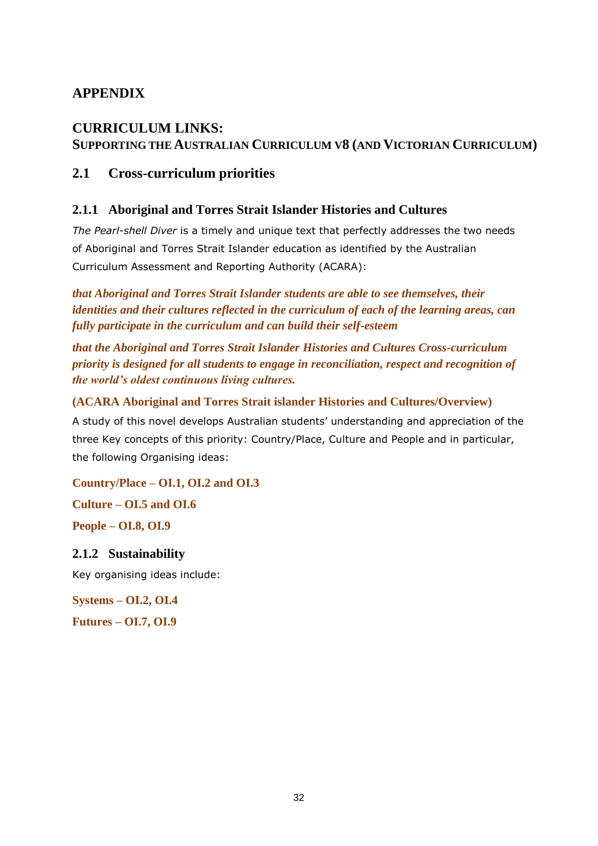## <span id="page-31-0"></span>**APPENDIX**

## **CURRICULUM LINKS: SUPPORTING THE AUSTRALIAN CURRICULUM V8 (AND VICTORIAN CURRICULUM)**

## **2.1 Cross-curriculum priorities**

## **2.1.1 Aboriginal and Torres Strait Islander Histories and Cultures**

*The Pearl-shell Diver* is a timely and unique text that perfectly addresses the two needs of Aboriginal and Torres Strait Islander education as identified by the Australian Curriculum Assessment and Reporting Authority (ACARA):

*that Aboriginal and Torres Strait Islander students are able to see themselves, their identities and their cultures reflected in the curriculum of each of the learning areas, can fully participate in the curriculum and can build their self-esteem*

*that the Aboriginal and Torres Strait Islander Histories and Cultures Cross-curriculum priority is designed for all students to engage in reconciliation, respect and recognition of the world's oldest continuous living cultures.* 

## **(ACARA Aboriginal and Torres Strait islander Histories and Cultures/Overview)**

A study of this novel develops Australian students' understanding and appreciation of the three Key concepts of this priority: Country/Place, Culture and People and in particular, the following Organising ideas:

**Country/Place – OI.1, OI.2 and OI.3**

**Culture – OI.5 and OI.6**

**People – OI.8, OI.9**

## **2.1.2 Sustainability**

Key organising ideas include:

**Systems – OI.2, OI.4**

**Futures – OI.7, OI.9**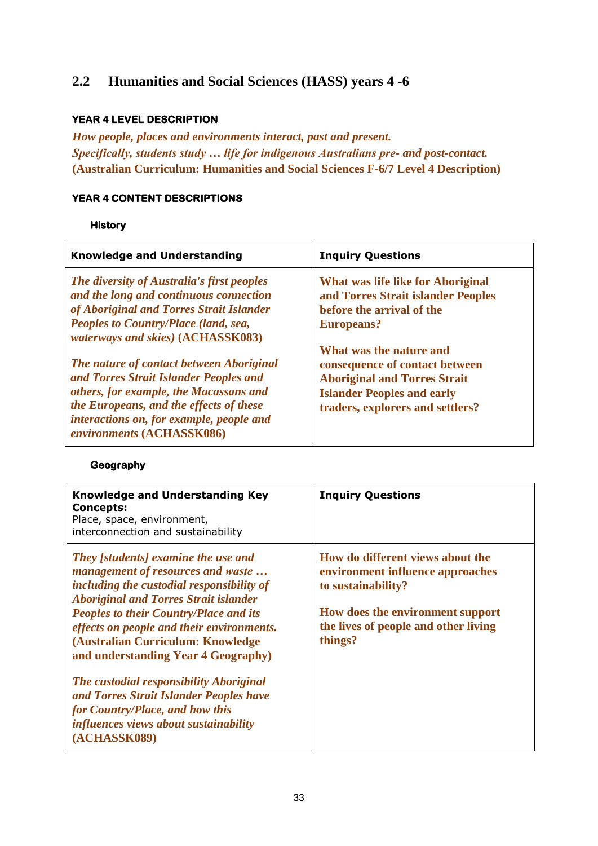## **2.2 Humanities and Social Sciences (HASS) years 4 -6**

## **YEAR 4 LEVEL DESCRIPTION**

*How people, places and environments interact, past and present. Specifically, students study … life for indigenous Australians pre- and post-contact.* **(Australian Curriculum: Humanities and Social Sciences F-6/7 Level 4 Description)**

#### **YEAR 4 CONTENT DESCRIPTIONS**

#### **History**

| <b>Knowledge and Understanding</b>                                                                                                                                                                                                               | <b>Inquiry Questions</b>                                                                                                                                                  |
|--------------------------------------------------------------------------------------------------------------------------------------------------------------------------------------------------------------------------------------------------|---------------------------------------------------------------------------------------------------------------------------------------------------------------------------|
| The diversity of Australia's first peoples<br>and the long and continuous connection<br>of Aboriginal and Torres Strait Islander<br>Peoples to Country/Place (land, sea,<br><i>waterways and skies</i> ) (ACHASSK083)                            | What was life like for Aboriginal<br>and Torres Strait islander Peoples<br>before the arrival of the<br><b>Europeans?</b>                                                 |
| The nature of contact between Aboriginal<br>and Torres Strait Islander Peoples and<br>others, for example, the Macassans and<br>the Europeans, and the effects of these<br>interactions on, for example, people and<br>environments (ACHASSK086) | What was the nature and<br>consequence of contact between<br><b>Aboriginal and Torres Strait</b><br><b>Islander Peoples and early</b><br>traders, explorers and settlers? |

#### **Geography**

| <b>Knowledge and Understanding Key</b><br><b>Concepts:</b><br>Place, space, environment,<br>interconnection and sustainability                                                                                                                                                                                                                                                                                                                                                                                                           | <b>Inquiry Questions</b>                                                                                                                                                          |
|------------------------------------------------------------------------------------------------------------------------------------------------------------------------------------------------------------------------------------------------------------------------------------------------------------------------------------------------------------------------------------------------------------------------------------------------------------------------------------------------------------------------------------------|-----------------------------------------------------------------------------------------------------------------------------------------------------------------------------------|
| <b>They</b> [students] examine the use and<br>management of resources and waste<br>including the custodial responsibility of<br><b>Aboriginal and Torres Strait islander</b><br><b>Peoples to their Country/Place and its</b><br>effects on people and their environments.<br>(Australian Curriculum: Knowledge<br>and understanding Year 4 Geography)<br>The custodial responsibility Aboriginal<br>and Torres Strait Islander Peoples have<br>for Country/Place, and how this<br>influences views about sustainability<br>(ACHASSK089) | How do different views about the<br>environment influence approaches<br>to sustainability?<br>How does the environment support<br>the lives of people and other living<br>things? |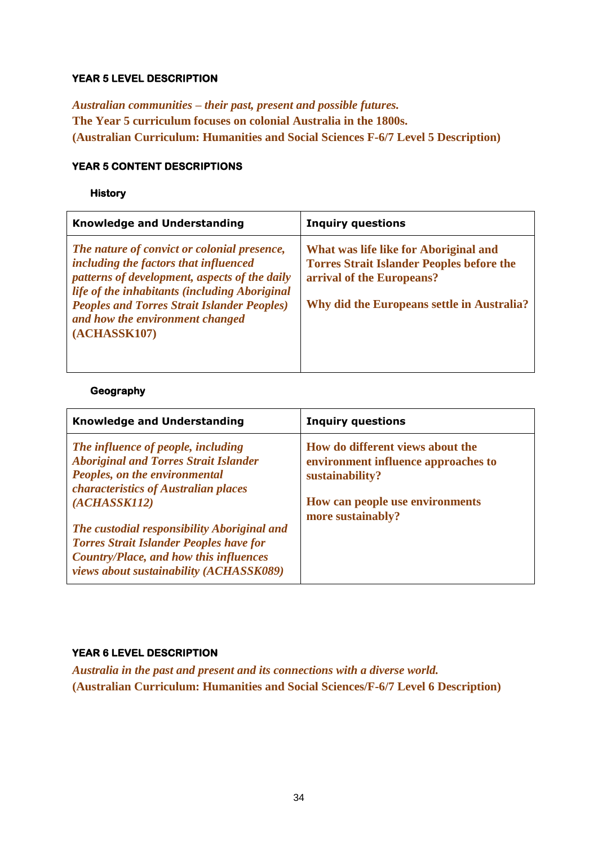#### **YEAR 5 LEVEL DESCRIPTION**

*Australian communities – their past, present and possible futures.*  **The Year 5 curriculum focuses on colonial Australia in the 1800s. (Australian Curriculum: Humanities and Social Sciences F-6/7 Level 5 Description)**

#### **YEAR 5 CONTENT DESCRIPTIONS**

#### **History**

| <b>Knowledge and Understanding</b>                                                                                                                                                                                                                                                              | <b>Inquiry questions</b>                                                                                                                                             |
|-------------------------------------------------------------------------------------------------------------------------------------------------------------------------------------------------------------------------------------------------------------------------------------------------|----------------------------------------------------------------------------------------------------------------------------------------------------------------------|
| The nature of convict or colonial presence,<br>including the factors that influenced<br>patterns of development, aspects of the daily<br>life of the inhabitants (including Aboriginal<br><b>Peoples and Torres Strait Islander Peoples)</b><br>and how the environment changed<br>(ACHASSK107) | What was life like for Aboriginal and<br><b>Torres Strait Islander Peoples before the</b><br>arrival of the Europeans?<br>Why did the Europeans settle in Australia? |

## **Geography**

| <b>Knowledge and Understanding</b>                                                                                                                          | <b>Inquiry questions</b>                                                                   |
|-------------------------------------------------------------------------------------------------------------------------------------------------------------|--------------------------------------------------------------------------------------------|
| The influence of people, including<br><b>Aboriginal and Torres Strait Islander</b><br>Peoples, on the environmental<br>characteristics of Australian places | How do different views about the<br>environment influence approaches to<br>sustainability? |
| (ACHASSK112)<br>The custodial responsibility Aboriginal and                                                                                                 | How can people use environments<br>more sustainably?                                       |
| <b>Torres Strait Islander Peoples have for</b><br><b>Country/Place, and how this influences</b><br>views about sustainability (ACHASSK089)                  |                                                                                            |

## **YEAR 6 LEVEL DESCRIPTION**

*Australia in the past and present and its connections with a diverse world.* **(Australian Curriculum: Humanities and Social Sciences/F-6/7 Level 6 Description)**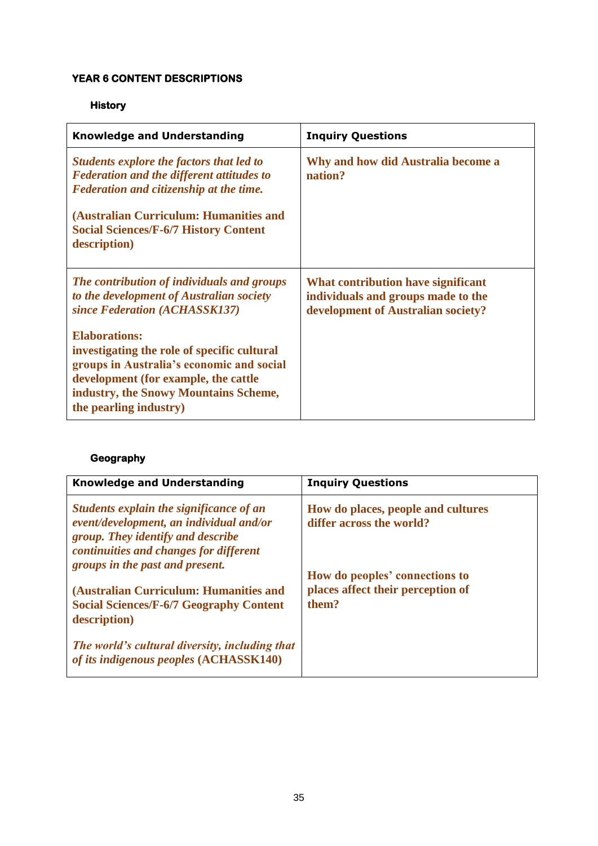#### **YEAR 6 CONTENT DESCRIPTIONS**

## **History**

| <b>Knowledge and Understanding</b>                                                                                                                                                                                                                | <b>Inquiry Questions</b>                                                                                       |
|---------------------------------------------------------------------------------------------------------------------------------------------------------------------------------------------------------------------------------------------------|----------------------------------------------------------------------------------------------------------------|
| Students explore the factors that led to<br><b>Federation and the different attitudes to</b><br>Federation and citizenship at the time.<br>(Australian Curriculum: Humanities and<br><b>Social Sciences/F-6/7 History Content</b><br>description) | Why and how did Australia become a<br>nation?                                                                  |
| The contribution of individuals and groups<br>to the development of Australian society<br>since Federation (ACHASSK137)                                                                                                                           | What contribution have significant<br>individuals and groups made to the<br>development of Australian society? |
| <b>Elaborations:</b><br>investigating the role of specific cultural<br>groups in Australia's economic and social<br>development (for example, the cattle<br>industry, the Snowy Mountains Scheme,<br>the pearling industry)                       |                                                                                                                |

## **Geography**

| <b>Knowledge and Understanding</b>                                                                                                                                                                   | <b>Inquiry Questions</b>                                                     |
|------------------------------------------------------------------------------------------------------------------------------------------------------------------------------------------------------|------------------------------------------------------------------------------|
| Students explain the significance of an<br>event/development, an individual and/or<br>group. They identify and describe<br>continuities and changes for different<br>groups in the past and present. | How do places, people and cultures<br>differ across the world?               |
| (Australian Curriculum: Humanities and<br><b>Social Sciences/F-6/7 Geography Content</b><br>description)                                                                                             | How do peoples' connections to<br>places affect their perception of<br>them? |
| The world's cultural diversity, including that<br>of its indigenous peoples (ACHASSK140)                                                                                                             |                                                                              |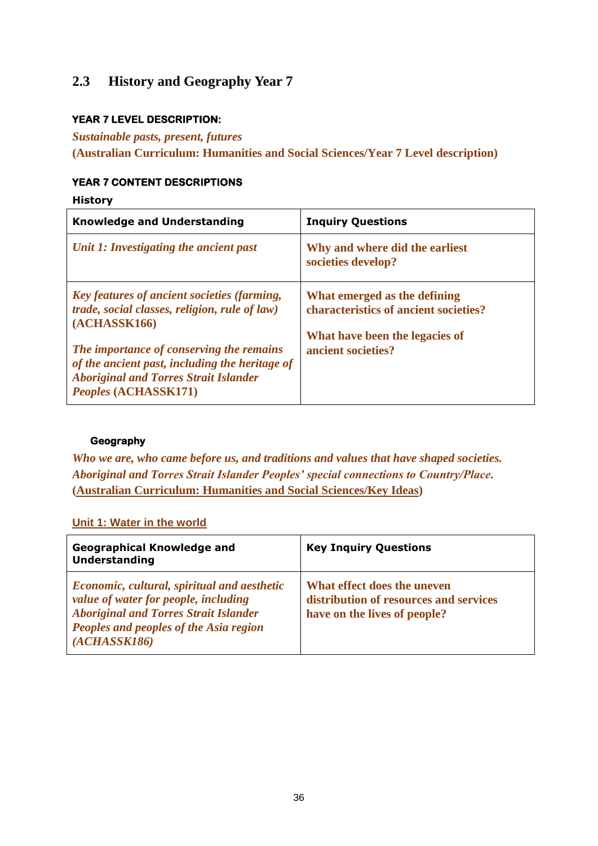## **2.3 History and Geography Year 7**

#### **YEAR 7 LEVEL DESCRIPTION:**

#### *Sustainable pasts, present, futures*

**(Australian Curriculum: Humanities and Social Sciences/Year 7 Level description)**

#### **YEAR 7 CONTENT DESCRIPTIONS**

**History**

| <b>Knowledge and Understanding</b>                                                                                                                                        | <b>Inquiry Questions</b>                                              |
|---------------------------------------------------------------------------------------------------------------------------------------------------------------------------|-----------------------------------------------------------------------|
| Unit 1: Investigating the ancient past                                                                                                                                    | Why and where did the earliest<br>societies develop?                  |
| Key features of ancient societies (farming,<br><i>trade, social classes, religion, rule of law)</i><br>(ACHASSK166)                                                       | What emerged as the defining<br>characteristics of ancient societies? |
| The importance of conserving the remains<br>of the ancient past, including the heritage of<br><b>Aboriginal and Torres Strait Islander</b><br><i>Peoples</i> (ACHASSK171) | What have been the legacies of<br>ancient societies?                  |

#### **Geography**

*Who we are, who came before us, and traditions and values that have shaped societies. Aboriginal and Torres Strait Islander Peoples' special connections to Country/Place.* **[\(Australian Curriculum: Humanities and Social Sciences/Key Ideas\)](http://www.australiancurriculum.edu.au/humanities-and-social-sciences/key-ideas)**

## **[Unit 1: Water in the world](http://www.australiancurriculum.edu.au/humanities-and-social-sciences/geography/curriculum/f-10?layout=1)**

| <b>Geographical Knowledge and</b><br><b>Understanding</b>                                                                                                                                     | <b>Key Inquiry Questions</b>                                                                          |
|-----------------------------------------------------------------------------------------------------------------------------------------------------------------------------------------------|-------------------------------------------------------------------------------------------------------|
| Economic, cultural, spiritual and aesthetic<br>value of water for people, including<br><b>Aboriginal and Torres Strait Islander</b><br>Peoples and peoples of the Asia region<br>(ACHASSK186) | What effect does the uneven<br>distribution of resources and services<br>have on the lives of people? |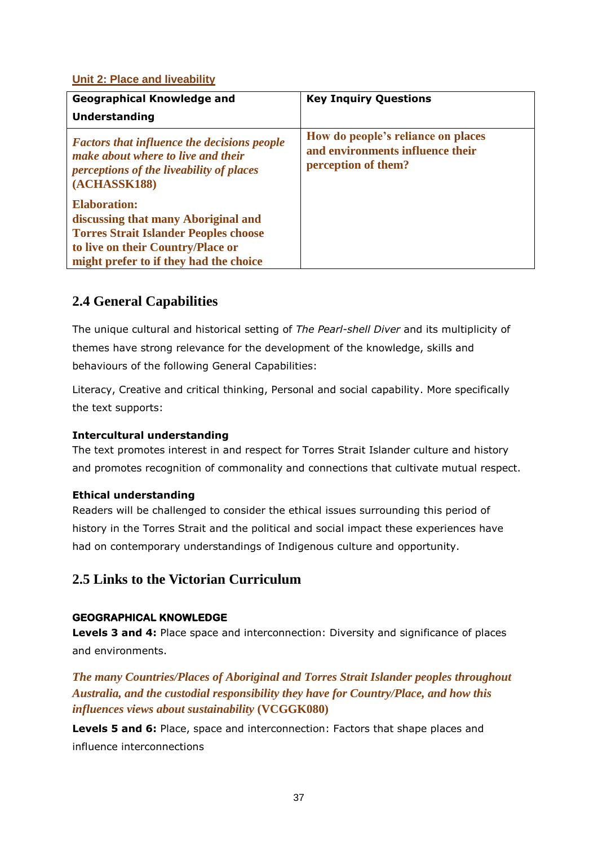## **[Unit 2: Place and liveability](http://www.australiancurriculum.edu.au/humanities-and-social-sciences/geography/curriculum/f-10?layout=1)**

| <b>Geographical Knowledge and</b>                                                                                                                    | <b>Key Inquiry Questions</b>                                                                  |
|------------------------------------------------------------------------------------------------------------------------------------------------------|-----------------------------------------------------------------------------------------------|
| <b>Understanding</b>                                                                                                                                 |                                                                                               |
| <b>Factors that influence the decisions people</b><br>make about where to live and their<br>perceptions of the liveability of places<br>(ACHASSK188) | How do people's reliance on places<br>and environments influence their<br>perception of them? |
| <b>Elaboration:</b>                                                                                                                                  |                                                                                               |
| discussing that many Aboriginal and                                                                                                                  |                                                                                               |
| <b>Torres Strait Islander Peoples choose</b>                                                                                                         |                                                                                               |
| to live on their Country/Place or                                                                                                                    |                                                                                               |
| might prefer to if they had the choice                                                                                                               |                                                                                               |

## **2.4 General Capabilities**

The unique cultural and historical setting of *The Pearl-shell Diver* and its multiplicity of themes have strong relevance for the development of the knowledge, skills and behaviours of the following General Capabilities:

Literacy, Creative and critical thinking, Personal and social capability. More specifically the text supports:

## **Intercultural understanding**

The text promotes interest in and respect for Torres Strait Islander culture and history and promotes recognition of commonality and connections that cultivate mutual respect.

#### **Ethical understanding**

Readers will be challenged to consider the ethical issues surrounding this period of history in the Torres Strait and the political and social impact these experiences have had on contemporary understandings of Indigenous culture and opportunity.

## **2.5 Links to the Victorian Curriculum**

#### **GEOGRAPHICAL KNOWLEDGE**

**Levels 3 and 4:** Place space and interconnection: Diversity and significance of places and environments.

*The many Countries/Places of Aboriginal and Torres Strait Islander peoples throughout Australia, and the custodial responsibility they have for Country/Place, and how this influences views about sustainability* **[\(VCGGK080\)](http://victoriancurriculum.vcaa.vic.edu.au/Curriculum/ContentDescription/VCGGK080)**

**Levels 5 and 6:** Place, space and interconnection: Factors that shape places and influence interconnections